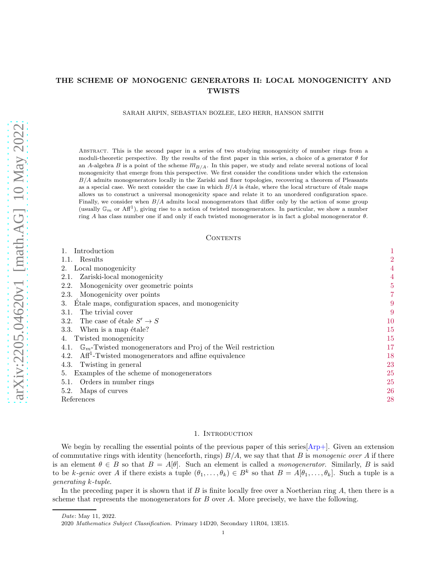# THE SCHEME OF MONOGENIC GENERATORS II: LOCAL MONOGENICITY AND TWISTS

SARAH ARPIN, SEBASTIAN BOZLEE, LEO HERR, HANSON SMITH

Abstract. This is the second paper in a series of two studying monogenicity of number rings from a moduli-theoretic perspective. By the results of the first paper in this series, a choice of a generator  $\theta$  for an A-algebra B is a point of the scheme  $m_{B/A}$ . In this paper, we study and relate several notions of local monogenicity that emerge from this perspective. We first consider the conditions under which the extension  $B/A$  admits monogenerators locally in the Zariski and finer topologies, recovering a theorem of Pleasants as a special case. We next consider the case in which  $B/A$  is étale, where the local structure of étale maps allows us to construct a universal monogenicity space and relate it to an unordered configuration space. Finally, we consider when  $B/A$  admits local monogenerators that differ only by the action of some group (usually  $\mathbb{G}_m$  or Aff<sup>1</sup>), giving rise to a notion of twisted monogenerators. In particular, we show a number ring A has class number one if and only if each twisted monogenerator is in fact a global monogenerator θ.

#### CONTENTS

| Introduction                                                                    | $\mathbf 1$    |
|---------------------------------------------------------------------------------|----------------|
| 1.1. Results                                                                    | $\overline{2}$ |
| Local monogenicity<br>2.                                                        | 4              |
| Zariski-local monogenicity<br>2.1.                                              | $\overline{4}$ |
| Monogenicity over geometric points<br>2.2.                                      | $\overline{5}$ |
| Monogenicity over points<br>2.3.                                                | 7              |
| Etale maps, configuration spaces, and monogenicity                              | 9              |
| The trivial cover<br>3.1.                                                       | 9              |
| The case of étale $S' \to S$<br>3.2.                                            | 10             |
| When is a map étale?<br>3.3.                                                    | 15             |
| Twisted monogenicity<br>4.                                                      | 15             |
| $\mathbb{G}_m$ -Twisted monogenerators and Proj of the Weil restriction<br>4.1. | 17             |
| $Aff1$ -Twisted monogenerators and affine equivalence<br>4.2.                   | 18             |
| 4.3. Twisting in general                                                        | 23             |
| Examples of the scheme of monogenerators                                        | 25             |
| Orders in number rings<br>5.1.                                                  | 25             |
| 5.2.<br>Maps of curves                                                          | 26             |
| References                                                                      | 28             |

#### 1. INTRODUCTION

<span id="page-0-0"></span>We begin by recalling the essential points of the previous paper of this series  $[Arp+]$ . Given an extension of commutative rings with identity (henceforth, rings)  $B/A$ , we say that that B is monogenic over A if there is an element  $\theta \in B$  so that  $B = A[\theta]$ . Such an element is called a *monogenerator*. Similarly, B is said to be k-genic over A if there exists a tuple  $(\theta_1, \ldots, \theta_k) \in B^k$  so that  $B = A[\theta_1, \ldots, \theta_k]$ . Such a tuple is a generating k-tuple.

In the preceding paper it is shown that if  $B$  is finite locally free over a Noetherian ring  $A$ , then there is a scheme that represents the monogenerators for  $B$  over  $A$ . More precisely, we have the following.

Date: May 11, 2022.

<sup>2020</sup> Mathematics Subject Classification. Primary 14D20, Secondary 11R04, 13E15.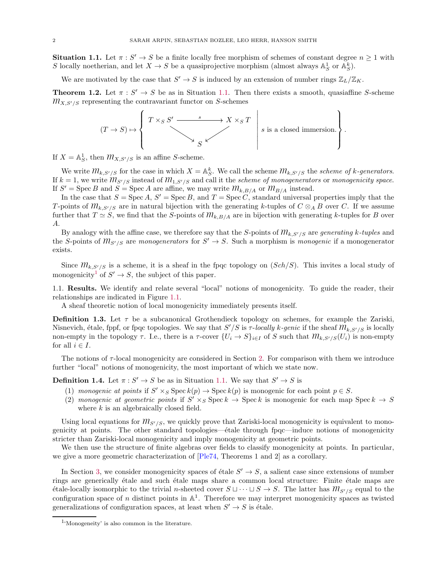<span id="page-1-1"></span>**Situation 1.1.** Let  $\pi : S' \to S$  be a finite locally free morphism of schemes of constant degree  $n \ge 1$  with S locally noetherian, and let  $X \to S$  be a quasiprojective morphism (almost always  $\mathbb{A}_{S}^{1}$  or  $\mathbb{A}_{S}^{k}$ ).

We are motivated by the case that  $S' \to S$  is induced by an extension of number rings  $\mathbb{Z}_L/\mathbb{Z}_K$ .

**Theorem 1.2.** Let  $\pi : S' \to S$  be as in Situation [1.1.](#page-1-1) Then there exists a smooth, quasiaffine S-scheme  $m_{X,S'/S}$  representing the contravariant functor on S-schemes



If  $X = \mathbb{A}^1_S$ , then  $\mathcal{M}_{X,S'/S}$  is an affine S-scheme.

We write  $m_{k,S'/S}$  for the case in which  $X = \mathbb{A}_{S}^{k}$ . We call the scheme  $m_{k,S'/S}$  the scheme of k-generators. If  $k = 1$ , we write  $m_{S'/S}$  instead of  $m_{1,S'/S}$  and call it the scheme of monogenerators or monogenicity space. If  $S' = \text{Spec } B$  and  $S = \text{Spec } A$  are affine, we may write  $\mathcal{M}_{k,B/A}$  or  $\mathcal{M}_{B/A}$  instead.

In the case that  $S = \operatorname{Spec} A$ ,  $S' = \operatorname{Spec} B$ , and  $T = \operatorname{Spec} C$ , standard universal properties imply that the T-points of  $m_{k,S'/S}$  are in natural bijection with the generating k-tuples of  $C \otimes_A B$  over C. If we assume further that  $T \simeq S$ , we find that the S-points of  $m_{k,B/A}$  are in bijection with generating k-tuples for B over A.

By analogy with the affine case, we therefore say that the S-points of  $m_{k,S'/S}$  are generating k-tuples and the S-points of  $m_{S'/S}$  are monogenerators for  $S' \to S$ . Such a morphism is monogenic if a monogenerator exists.

Since  $m_{k,S'/S}$  is a scheme, it is a sheaf in the fpqc topology on  $(Sch/S)$ . This invites a local study of monogenicity<sup>[1](#page-1-2)</sup> of  $S' \to S$ , the subject of this paper.

<span id="page-1-0"></span>1.1. Results. We identify and relate several "local" notions of monogenicity. To guide the reader, their relationships are indicated in Figure [1.1.](#page-2-0)

A sheaf theoretic notion of local monogenicity immediately presents itself.

<span id="page-1-3"></span>**Definition 1.3.** Let  $\tau$  be a subcanonical Grothendieck topology on schemes, for example the Zariski, Nisnevich, étale, fppf, or fpqc topologies. We say that  $S'/S$  is  $\tau$ -locally k-genic if the sheaf  $m_{k,S'/S}$  is locally non-empty in the topology  $\tau$ . I.e., there is a  $\tau$ -cover  $\{U_i \to S\}_{i\in I}$  of S such that  $\mathcal{M}_{k,S'/S}(U_i)$  is non-empty for all  $i \in I$ .

The notions of  $\tau$ -local monogenicity are considered in Section [2.](#page-3-0) For comparison with them we introduce further "local" notions of monogenicity, the most important of which we state now.

**Definition 1.4.** Let  $\pi : S' \to S$  be as in Situation [1.1.](#page-1-1) We say that  $S' \to S$  is

- (1) monogenic at points if  $S' \times_S \operatorname{Spec} k(p) \to \operatorname{Spec} k(p)$  is monogenic for each point  $p \in S$ .
- (2) monogenic at geometric points if  $S' \times_S \text{Spec } k \to \text{Spec } k$  is monogenic for each map  $\text{Spec } k \to S$ where  $k$  is an algebraically closed field.

Using local equations for  $m_{S'/S}$ , we quickly prove that Zariski-local monogenicity is equivalent to monogenicity at points. The other standard topologies—´etale through fpqc—induce notions of monogenicity stricter than Zariski-local monogenicity and imply monogenicity at geometric points.

We then use the structure of finite algebras over fields to classify monogenicity at points. In particular, we give a more geometric characterization of [\[Ple74,](#page-28-0) Theorems 1 and 2] as a corollary.

In Section [3,](#page-8-0) we consider monogenicity spaces of étale  $S' \to S$ , a salient case since extensions of number rings are generically étale and such étale maps share a common local structure: Finite étale maps are étale-locally isomorphic to the trivial n-sheeted cover  $S \sqcup \cdots \sqcup S \rightarrow S$ . The latter has  $m_{S'/S}$  equal to the configuration space of n distinct points in  $\mathbb{A}^1$ . Therefore we may interpret monogenicity spaces as twisted generalizations of configuration spaces, at least when  $S' \to S$  is étale.

<span id="page-1-2"></span><sup>1</sup> 'Monogeneity' is also common in the literature.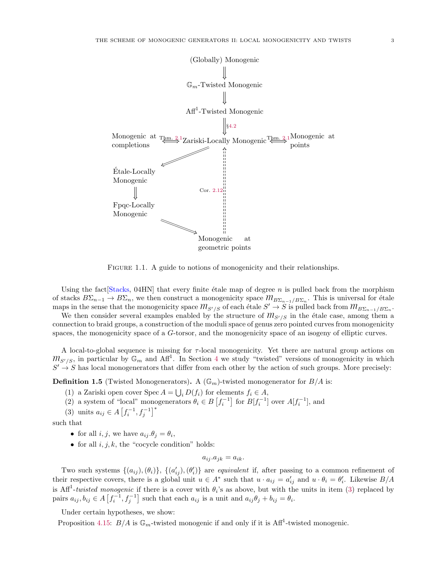

<span id="page-2-0"></span>FIGURE 1.1. A guide to notions of monogenicity and their relationships.

Using the fact  $[Stacks, 04HN]$  $[Stacks, 04HN]$  that every finite étale map of degree n is pulled back from the morphism of stacks  $B\Sigma_{n-1} \to B\Sigma_n$ , we then construct a monogenicity space  $m_{B\Sigma_{n-1}/B\Sigma_n}$ . This is universal for étale maps in the sense that the monogenicity space  $m_{S'/S}$  of each étale  $S' \to S$  is pulled back from  $m_{B\Sigma_{n-1}/B\Sigma_n}$ .

We then consider several examples enabled by the structure of  $m_{S'/S}$  in the étale case, among them a connection to braid groups, a construction of the moduli space of genus zero pointed curves from monogenicity spaces, the monogenicity space of a G-torsor, and the monogenicity space of an isogeny of elliptic curves.

A local-to-global sequence is missing for τ-local monogenicity. Yet there are natural group actions on  $m_{S'/S}$ , in particular by  $\mathbb{G}_m$  and  $\text{Aff}^1$ . In Section [4](#page-14-1) we study "twisted" versions of monogenicity in which  $S' \to S$  has local monogenerators that differ from each other by the action of such groups. More precisely:

**Definition 1.5** (Twisted Monogenerators). A ( $\mathbb{G}_m$ )-twisted monogenerator for  $B/A$  is:

- (1) a Zariski open cover Spec  $A = \bigcup_i D(f_i)$  for elements  $f_i \in A$ ,
- (2) a system of "local" monogenerators  $\theta_i \in B\left[f_i^{-1}\right]$  for  $B[f_i^{-1}]$  over  $A[f_i^{-1}]$ , and
- (3) units  $a_{ij} \in A \left[ f_i^{-1}, f_j^{-1} \right]^*$

such that

- for all  $i, j$ , we have  $a_{ij}.\theta_j = \theta_i$ ,
- for all  $i, j, k$ , the "cocycle condition" holds:

$$
a_{ij}.a_{jk} = a_{ik}.
$$

Two such systems  $\{(a_{ij}),(\theta_i)\},\{(a'_{ij}),(\theta'_{i})\}$  are *equivalent* if, after passing to a common refinement of their respective covers, there is a global unit  $u \in A^*$  such that  $u \cdot a_{ij} = a'_{ij}$  and  $u \cdot \theta_i = \theta'_i$ . Likewise  $B/A$ is Aff<sup>1</sup>-twisted monogenic if there is a cover with  $\theta_i$ 's as above, but with the units in item [\(3\)](#page-15-0) replaced by pairs  $a_{ij}, b_{ij} \in A\left[f_i^{-1}, f_j^{-1}\right]$  such that each  $a_{ij}$  is a unit and  $a_{ij}\theta_j + b_{ij} = \theta_i$ .

Under certain hypotheses, we show:

Proposition [4.15:](#page-19-0)  $B/A$  is  $\mathbb{G}_m$ -twisted monogenic if and only if it is Aff<sup>1</sup>-twisted monogenic.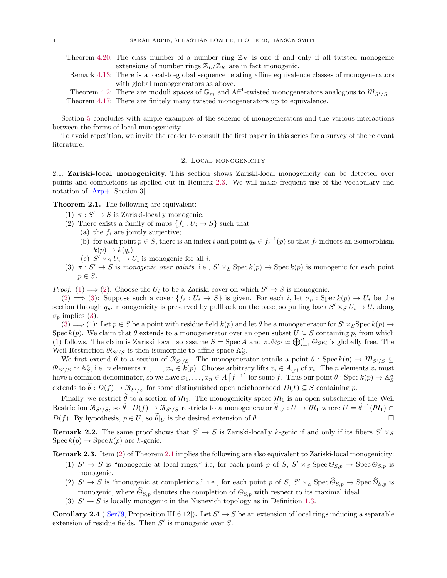- Theorem [4.20:](#page-20-0) The class number of a number ring  $\mathbb{Z}_K$  is one if and only if all twisted monogenic extensions of number rings  $\mathbb{Z}_L/\mathbb{Z}_K$  are in fact monogenic.
- Remark [4.13:](#page-18-0) There is a local-to-global sequence relating affine equivalence classes of monogenerators with global monogenerators as above.
- Theorem [4.2:](#page-16-1) There are moduli spaces of  $\mathbb{G}_m$  and Aff<sup>1</sup>-twisted monogenerators analogous to  $m_{S'/S}$ .

Theorem [4.17:](#page-19-1) There are finitely many twisted monogenerators up to equivalence.

Section [5](#page-24-0) concludes with ample examples of the scheme of monogenerators and the various interactions between the forms of local monogenicity.

<span id="page-3-0"></span>To avoid repetition, we invite the reader to consult the first paper in this series for a survey of the relevant literature.

# 2. Local monogenicity

<span id="page-3-1"></span>2.1. Zariski-local monogenicity. This section shows Zariski-local monogenicity can be detected over points and completions as spelled out in Remark [2.3.](#page-3-3) We will make frequent use of the vocabulary and notation of [\[Arp+,](#page-27-1) Section 3].

<span id="page-3-5"></span><span id="page-3-4"></span><span id="page-3-2"></span>Theorem 2.1. The following are equivalent:

- (1)  $\pi: S' \to S$  is Zariski-locally monogenic.
- (2) There exists a family of maps  $\{f_i: U_i \to S\}$  such that
	- (a) the  $f_i$  are jointly surjective;
	- (b) for each point  $p \in S$ , there is an index i and point  $q_p \in f_i^{-1}(p)$  so that  $f_i$  induces an isomorphism  $k(p) \rightarrow k(q_i);$
	- (c)  $S' \times_S U_i \rightarrow U_i$  is monogenic for all *i*.
- <span id="page-3-6"></span>(3)  $\pi: S' \to S$  is monogenic over points, i.e.,  $S' \times_S \text{Spec } k(p) \to \text{Spec } k(p)$  is monogenic for each point  $p \in S$ .

*Proof.* [\(1\)](#page-3-4)  $\implies$  [\(2\)](#page-3-5): Choose the  $U_i$  to be a Zariski cover on which  $S' \to S$  is monogenic.

 $(2) \implies (3)$  $(2) \implies (3)$  $(2) \implies (3)$ : Suppose such a cover  $\{f_i: U_i \to S\}$  is given. For each i, let  $\sigma_p: \operatorname{Spec} k(p) \to U_i$  be the section through  $q_p$ . monogenicity is preserved by pullback on the base, so pulling back  $S' \times_S U_i \to U_i$  along  $\sigma_p$  implies [\(3\)](#page-3-6).

[\(3\)](#page-3-6)  $\implies$  [\(1\)](#page-3-4): Let  $p \in S$  be a point with residue field  $k(p)$  and let  $\theta$  be a monogenerator for  $S' \times_S$ Spec  $k(p) \to$ Spec  $k(p)$ . We claim that  $\theta$  extends to a monogenerator over an open subset  $U \subseteq S$  containing p, from which [\(1\)](#page-3-4) follows. The claim is Zariski local, so assume  $S = \text{Spec } A$  and  $\pi_* \mathcal{O}_{S'} \simeq \bigoplus_{i=1}^n \mathcal{O}_S e_i$  is globally free. The Weil Restriction  $\mathcal{R}_{S'/S}$  is then isomorphic to affine space  $\mathbb{A}^n_S$ .

We first extend  $\theta$  to a section of  $\mathcal{R}_{S'/S}$ . The monogenerator entails a point  $\theta$ : Spec  $k(p) \to \mathcal{M}_{S'/S}$  $\mathcal{R}_{S'/S} \simeq \mathbb{A}_S^n$ , i.e. *n* elements  $\overline{x}_1, \ldots, \overline{x}_n \in k(p)$ . Choose arbitrary lifts  $x_i \in A_{(p)}$  of  $\overline{x}_i$ . The *n* elements  $x_i$  must have a common denominator, so we have  $x_1, \ldots, x_n \in A \left[ f^{-1} \right]$  for some f. Thus our point  $\theta$ : Spec  $k(p) \to \mathbb{A}^n_S$ extends to  $\theta : D(f) \to \mathcal{R}_{S'/S}$  for some distinguished open neighborhood  $D(f) \subseteq S$  containing p.

Finally, we restrict  $\tilde{\theta}$  to a section of  $m_1$ . The monogenicity space  $m_1$  is an open subscheme of the Weil Restriction  $\mathcal{R}_{S'/S}$ , so  $\widetilde{\theta}$  :  $D(f) \to \mathcal{R}_{S'/S}$  restricts to a monogenerator  $\widetilde{\theta}|_U : U \to \mathcal{M}_1$  where  $U = \widetilde{\theta}^{-1}(\mathcal{M}_1) \subset$  $D(f)$ . By hypothesis,  $p \in U$ , so  $\tilde{\theta}|_U$  is the desired extension of  $\theta$ .

**Remark 2.2.** The same proof shows that  $S' \to S$  is Zariski-locally k-genic if and only if its fibers  $S' \times_S$  $\operatorname{Spec} k(p) \to \operatorname{Spec} k(p)$  are k-genic.

<span id="page-3-7"></span><span id="page-3-3"></span>Remark 2.3. Item [\(2\)](#page-3-5) of Theorem [2.1](#page-3-2) implies the following are also equivalent to Zariski-local monogenicity:

- (1)  $S' \to S$  is "monogenic at local rings," i.e, for each point p of S,  $S' \times_S \text{Spec } \mathcal{O}_{S,p} \to \text{Spec } \mathcal{O}_{S,p}$  is monogenic.
- (2)  $S' \to S$  is "monogenic at completions," i.e., for each point p of S,  $S' \times_S \text{Spec } \widehat{\Theta}_{S,p} \to \text{Spec } \widehat{\Theta}_{S,p}$  is monogenic, where  $\hat{\mathcal{O}}_{S,p}$  denotes the completion of  $\mathcal{O}_{S,p}$  with respect to its maximal ideal.
- (3)  $S' \rightarrow S$  is locally monogenic in the Nisnevich topology as in Definition [1.3.](#page-1-3)

**Corollary 2.4** ([\[Ser79,](#page-28-2) Proposition III.6.12]). Let  $S' \to S$  be an extension of local rings inducing a separable extension of residue fields. Then  $S'$  is monogenic over  $S$ .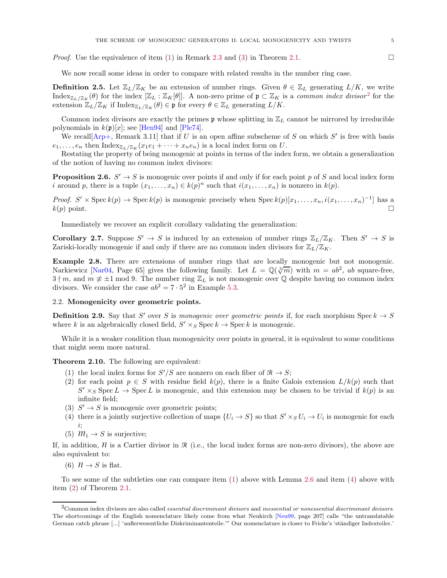*Proof.* Use the equivalence of item [\(1\)](#page-3-7) in Remark [2.3](#page-3-3) and [\(3\)](#page-3-6) in Theorem [2.1.](#page-3-2)

We now recall some ideas in order to compare with related results in the number ring case.

**Definition 2.5.** Let  $\mathbb{Z}_L/\mathbb{Z}_K$  be an extension of number rings. Given  $\theta \in \mathbb{Z}_L$  generating  $L/K$ , we write  ${\rm Index}_{\mathbb{Z}_L/\mathbb{Z}_K}(\theta)$  for the index  $[\mathbb{Z}_L : \mathbb{Z}_K[\theta]]$ . A non-zero prime of  $\mathfrak{p} \subset \mathbb{Z}_K$  is a *common index divisor*<sup>[2](#page-4-1)</sup> for the extension  $\mathbb{Z}_L/\mathbb{Z}_K$  if  $\text{Index}_{\mathbb{Z}_L/\mathbb{Z}_K}(\theta) \in \mathfrak{p}$  for every  $\theta \in \mathbb{Z}_L$  generating  $L/K$ .

Common index divisors are exactly the primes  $\mathfrak p$  whose splitting in  $\mathbb Z_L$  cannot be mirrored by irreducible polynomials in  $k(p)[x]$ ; see [\[Hen94\]](#page-28-3) and [\[Ple74](#page-28-0)].

We recall  $[Arp+,$  $[Arp+,$  Remark 3.11 that if U is an open affine subscheme of S on which S' is free with basis  $e_1, \ldots, e_n$  then  ${\rm Index}_{\mathbb{Z}_L/\mathbb{Z}_K}(x_1e_1 + \cdots + x_ne_n)$  is a local index form on U.

Restating the property of being monogenic at points in terms of the index form, we obtain a generalization of the notion of having no common index divisors:

<span id="page-4-3"></span>**Proposition 2.6.**  $S' \to S$  is monogenic over points if and only if for each point p of S and local index form *i* around *p*, there is a tuple  $(x_1, \ldots, x_n) \in k(p)^n$  such that  $i(x_1, \ldots, x_n)$  is nonzero in  $k(p)$ .

*Proof.*  $S' \times \text{Spec } k(p) \to \text{Spec } k(p)$  is monogenic precisely when  $\text{Spec } k(p)[x_1, \ldots, x_n, i(x_1, \ldots, x_n)^{-1}]$  has a  $k(p)$  point.

Immediately we recover an explicit corollary validating the generalization:

**Corollary 2.7.** Suppose  $S' \to S$  is induced by an extension of number rings  $\mathbb{Z}_L/\mathbb{Z}_K$ . Then  $S' \to S$  is Zariski-locally monogenic if and only if there are no common index divisors for  $\mathbb{Z}_L/\mathbb{Z}_K$ .

<span id="page-4-10"></span>Example 2.8. There are extensions of number rings that are locally monogenic but not monogenic. Narkiewicz [\[Nar04](#page-28-4), Page 65] gives the following family. Let  $L = \mathbb{Q}(\sqrt[3]{m})$  with  $m = ab^2$ , ab square-free,  $3 \nmid m$ , and  $m \not\equiv \pm 1 \mod 9$ . The number ring  $\mathbb{Z}_L$  is not monogenic over Q despite having no common index divisors. We consider the case  $ab^2 = 7 \cdot 5^2$  in Example [5.3.](#page-25-1)

## <span id="page-4-0"></span>2.2. Monogenicity over geometric points.

**Definition 2.9.** Say that S' over S is monogenic over geometric points if, for each morphism  $\text{Spec } k \to S$ where k is an algebraically closed field,  $S' \times_S \text{Spec } k \to \text{Spec } k$  is monogenic.

While it is a weaker condition than monogenicity over points in general, it is equivalent to some conditions that might seem more natural.

<span id="page-4-9"></span><span id="page-4-5"></span><span id="page-4-2"></span>Theorem 2.10. The following are equivalent:

- (1) the local index forms for  $S'/S$  are nonzero on each fiber of  $\mathcal{R} \to S$ ;
- (2) for each point  $p \in S$  with residue field  $k(p)$ , there is a finite Galois extension  $L/k(p)$  such that  $S' \times_S \text{Spec } L \to \text{Spec } L$  is monogenic, and this extension may be chosen to be trivial if  $k(p)$  is an infinite field;
- <span id="page-4-6"></span><span id="page-4-4"></span>(3)  $S' \rightarrow S$  is monogenic over geometric points;
- (4) there is a jointly surjective collection of maps  $\{U_i \to S\}$  so that  $S' \times_S U_i \to U_i$  is monogenic for each i;
- <span id="page-4-7"></span>(5)  $m_1 \rightarrow S$  is surjective;

<span id="page-4-8"></span>If, in addition,  $\hat{\mathcal{U}}$  is a Cartier divisor in  $\hat{\mathcal{R}}$  (i.e., the local index forms are non-zero divisors), the above are also equivalent to:

(6)  $\mathcal{N} \to S$  is flat.

To see some of the subtleties one can compare item [\(1\)](#page-4-2) above with Lemma [2.6](#page-4-3) and item [\(4\)](#page-4-4) above with item [\(2\)](#page-3-5) of Theorem [2.1.](#page-3-2)

<span id="page-4-1"></span> $2$ Common index divisors are also called *essential discriminant divisors* and *inessential or nonessential discriminant divisors*. The shortcomings of the English nomenclature likely come from what Neukirch [\[Neu99,](#page-28-5) page 207] calls "the untranslatable German catch phrase [...] 'außerwesentliche Diskriminantenteile.'" Our nomenclature is closer to Fricke's 'ständiger Indexteiler.'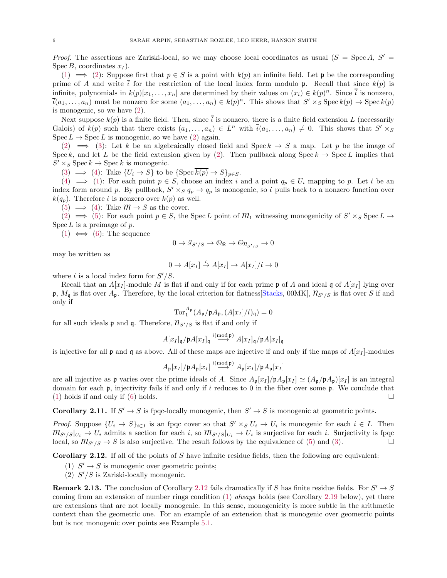*Proof.* The assertions are Zariski-local, so we may choose local coordinates as usual  $(S = \text{Spec } A, S' = A)$ Spec B, coordinates  $x_I$ ).

[\(1\)](#page-4-2)  $\implies$  [\(2\)](#page-4-5): Suppose first that  $p \in S$  is a point with  $k(p)$  an infinite field. Let p be the corresponding prime of A and write  $\bar{i}$  for the restriction of the local index form modulo p. Recall that since  $k(p)$  is infinite, polynomials in  $k(p)[x_1, \ldots, x_n]$  are determined by their values on  $(x_i) \in k(p)^n$ . Since  $\overline{i}$  is nonzero,  $\overline{i}(a_1,\ldots,a_n)$  must be nonzero for some  $(a_1,\ldots,a_n) \in k(p)^n$ . This shows that  $S' \times_S \text{Spec } k(p) \to \text{Spec } k(p)$ is monogenic, so we have [\(2\)](#page-4-5).

Next suppose  $k(p)$  is a finite field. Then, since  $\overline{i}$  is nonzero, there is a finite field extension L (necessarily Galois) of  $k(p)$  such that there exists  $(a_1, \ldots, a_n) \in L^n$  with  $\bar{i}(a_1, \ldots, a_n) \neq 0$ . This shows that  $S' \times_S$  $Spec L \rightarrow Spec L$  is monogenic, so we have [\(2\)](#page-4-5) again.

[\(2\)](#page-4-5)  $\implies$  [\(3\)](#page-4-6): Let k be an algebraically closed field and Speck  $\rightarrow$  S a map. Let p be the image of Spec k, and let L be the field extension given by [\(2\)](#page-4-5). Then pullback along Spec  $k \to \text{Spec } L$  implies that  $S' \times_S \operatorname{Spec} k \to \operatorname{Spec} k$  is monogenic.

[\(3\)](#page-4-6)  $\implies$  [\(4\)](#page-4-4): Take  $\{U_i \rightarrow S\}$  to be  $\{\text{Spec } \overline{k(p)} \rightarrow S\}_{p \in S}$ .

[\(4\)](#page-4-4)  $\implies$  [\(1\)](#page-4-2): For each point  $p \in S$ , choose an index i and a point  $q_p \in U_i$  mapping to p. Let i be an index form around p. By pullback,  $S' \times_S q_p \rightarrow q_p$  is monogenic, so i pulls back to a nonzero function over  $k(q_p)$ . Therefore i is nonzero over  $k(p)$  as well.

[\(5\)](#page-4-7)  $\implies$  [\(4\)](#page-4-4): Take  $M \rightarrow S$  as the cover.

[\(2\)](#page-4-5)  $\implies$  [\(5\)](#page-4-7): For each point  $p \in S$ , the Spec L point of  $M_1$  witnessing monogenicity of  $S' \times_S \text{Spec } L \to$  $Spec L$  is a preimage of p.

 $(1) \iff (6)$  $(1) \iff (6)$  $(1) \iff (6)$ : The sequence

$$
0\to \mathcal{G}_{S'/S}\to \mathcal{O}_{\mathcal{R}}\to \mathcal{O}_{\mathcal{R}_{S'/S}}\to 0
$$

may be written as

$$
0 \to A[x_I] \xrightarrow{i} A[x_I] \to A[x_I]/i \to 0
$$

where i is a local index form for  $S'/S$ .

Recall that an  $A[x_I]$ -module M is flat if and only if for each prime p of A and ideal q of  $A[x_I]$  lying over p,  $M_{\mathfrak{q}}$  is flat over  $A_{\mathfrak{p}}$ . Therefore, by the local criterion for flatness Stacks, 00MK],  $\eta_{S'/S}$  is flat over S if and only if

$$
\operatorname{Tor}\nolimits_1^{A_{\operatorname{\mathfrak{p}}\nolimits}}(A_{\operatorname{\mathfrak{p}}\nolimits}/\operatorname{\mathfrak{p}}\nolimits A_{\operatorname{\mathfrak{p}}\nolimits}, (A[x_I]/i)_{\operatorname{\mathfrak{q}}\nolimits}) = 0
$$

for all such ideals **p** and **q**. Therefore,  $\mathcal{H}_{S'/S}$  is flat if and only if

$$
A[x_I]_{\mathfrak{q}}/\mathfrak{p}A[x_I]_{\mathfrak{q}} \stackrel{i(\text{mod } \mathfrak{p})}{\longrightarrow} A[x_I]_{\mathfrak{q}}/\mathfrak{p}A[x_I]_{\mathfrak{q}}
$$

is injective for all **p** and **q** as above. All of these maps are injective if and only if the maps of  $A[x_I]$ -modules

$$
A_{\mathfrak{p}}[x_I]/{\mathfrak{p}} A_{\mathfrak{p}}[x_I] \stackrel{i(\text{mod } \mathfrak{p})}{\longrightarrow} A_{\mathfrak{p}}[x_I]/{\mathfrak{p}} A_{\mathfrak{p}}[x_I]
$$

are all injective as p varies over the prime ideals of A. Since  $A_{p}[x_{I}]/pA_{p}[x_{I}] \simeq (A_{p}/pA_{p})[x_{I}]$  is an integral domain for each  $\mathfrak{p}$ , injectivity fails if and only if i reduces to 0 in the fiber over some  $\mathfrak{p}$ . We conclude that [\(1\)](#page-4-2) holds if and only if [\(6\)](#page-4-8) holds.  $\square$ 

**Corollary 2.11.** If  $S' \to S$  is fpqc-locally monogenic, then  $S' \to S$  is monogenic at geometric points.

*Proof.* Suppose  $\{U_i \to S\}_{i \in I}$  is an fpqc cover so that  $S' \times_S U_i \to U_i$  is monogenic for each  $i \in I$ . Then  $m_{S'/S}|_{U_i} \to U_i$  admits a section for each i, so  $m_{S'/S}|_{U_i} \to U_i$  is surjective for each i. Surjectivity is fpqc local, so  $m_{S'/S} \rightarrow S$  is also surjective. The result follows by the equivalence of [\(5\)](#page-4-7) and [\(3\)](#page-4-6).

<span id="page-5-1"></span><span id="page-5-0"></span>**Corollary 2.12.** If all of the points of S have infinite residue fields, then the following are equivalent:

- (1)  $S' \rightarrow S$  is monogenic over geometric points;
- (2)  $S'/S$  is Zariski-locally monogenic.

**Remark 2.13.** The conclusion of Corollary [2.12](#page-5-0) fails dramatically if S has finite residue fields. For  $S' \rightarrow S$ coming from an extension of number rings condition  $(1)$  always holds (see Corollary [2.19](#page-7-0) below), yet there are extensions that are not locally monogenic. In this sense, monogenicity is more subtle in the arithmetic context than the geometric one. For an example of an extension that is monogenic over geometric points but is not monogenic over points see Example [5.1.](#page-24-2)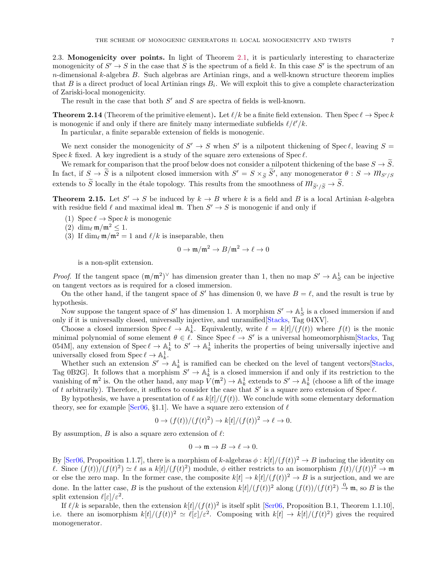<span id="page-6-0"></span>2.3. Monogenicity over points. In light of Theorem [2.1,](#page-3-2) it is particularly interesting to characterize monogenicity of  $S' \to S$  in the case that S is the spectrum of a field k. In this case S' is the spectrum of an  $n$ -dimensional k-algebra B. Such algebras are Artinian rings, and a well-known structure theorem implies that B is a direct product of local Artinian rings  $B_i$ . We will exploit this to give a complete characterization of Zariski-local monogenicity.

The result in the case that both  $S'$  and  $S$  are spectra of fields is well-known.

**Theorem 2.14** (Theorem of the primitive element). Let  $\ell/k$  be a finite field extension. Then Spec  $\ell \to \text{Spec } k$ is monogenic if and only if there are finitely many intermediate subfields  $\ell/\ell'/k$ .

In particular, a finite separable extension of fields is monogenic.

We next consider the monogenicity of  $S' \to S$  when  $S'$  is a nilpotent thickening of Spec  $\ell$ , leaving  $S =$ Spec k fixed. A key ingredient is a study of the square zero extensions of  $Spec \ell$ .

We remark for comparison that the proof below does not consider a nilpotent thickening of the base  $S \to \tilde{S}$ . In fact, if  $S \to \tilde{S}$  is a nilpotent closed immersion with  $S' = S \times_{\widetilde{S}} \tilde{S}'$ , any monogenerator  $\theta : S \to M_{S'/S}$ extends to  $\widetilde{S}$  locally in the étale topology. This results from the smoothness of  $m_{\widetilde{S}'/\widetilde{S}} \to \widetilde{S}$ .

<span id="page-6-1"></span>**Theorem 2.15.** Let  $S' \to S$  be induced by  $k \to B$  where k is a field and B is a local Artinian k-algebra with residue field  $\ell$  and maximal ideal **m**. Then  $S' \to S$  is monogenic if and only if

- (1)  $\text{Spec } \ell \to \text{Spec } k$  is monogenic
- (2)  $\dim_{\ell} \mathfrak{m}/\mathfrak{m}^2 \leq 1$ .
- (3) If  $\dim_{\ell} \mathfrak{m}/\mathfrak{m}^2 = 1$  and  $\ell/k$  is inseparable, then

$$
0 \to \mathfrak{m}/\mathfrak{m}^2 \to B/\mathfrak{m}^2 \to \ell \to 0
$$

is a non-split extension.

*Proof.* If the tangent space  $(\mathfrak{m}/\mathfrak{m}^2)^\vee$  has dimension greater than 1, then no map  $S' \to \mathbb{A}^1_S$  can be injective on tangent vectors as is required for a closed immersion.

On the other hand, if the tangent space of S' has dimension 0, we have  $B = \ell$ , and the result is true by hypothesis.

Now suppose the tangent space of S' has dimension 1. A morphism  $S' \to \mathbb{A}^1_S$  is a closed immersion if and only if it is universally closed, universally injective, and unramified[\[Stacks](#page-28-1), Tag 04XV].

Choose a closed immersion  $\text{Spec } \ell \to \mathbb{A}^1_k$ . Equivalently, write  $\ell = k[t]/(f(t))$  where  $f(t)$  is the monic minimal polynomial of some element  $\theta \in \ell$ . Since  $\text{Spec } \ell \to S'$  is a universal homeomorphism[\[Stacks,](#page-28-1) Tag 054M], any extension of  $Spec \ell \to \mathbb{A}^1_k$  to  $S' \to \mathbb{A}^1_k$  inherits the properties of being universally injective and universally closed from  $\operatorname{Spec} \ell \to \mathbb{A}^1_k$ .

Whether such an extension  $S' \to \mathbb{A}^1_k$  is ramified can be checked on the level of tangent vectors Stacks, Tag 0B2G. It follows that a morphism  $S' \to \mathbb{A}^1_k$  is a closed immersion if and only if its restriction to the vanishing of  $\mathfrak{m}^2$  is. On the other hand, any map  $V(\mathfrak{m}^2) \to \mathbb{A}^1_k$  extends to  $S' \to \mathbb{A}^1_k$  (choose a lift of the image of t arbitrarily). Therefore, it suffices to consider the case that S' is a square zero extension of Spec  $\ell$ .

By hypothesis, we have a presentation of  $\ell$  as  $k[t]/(f(t))$ . We conclude with some elementary deformation theory, see for example [\[Ser06](#page-28-6), §1.1]. We have a square zero extension of  $\ell$ 

$$
0 \to (f(t))/(f(t)^2) \to k[t]/(f(t))^2 \to \ell \to 0.
$$

By assumption,  $B$  is also a square zero extension of  $\ell$ :

$$
0 \to \mathfrak{m} \to B \to \ell \to 0.
$$

By [\[Ser06,](#page-28-6) Proposition 1.1.7], there is a morphism of k-algebras  $\phi : k[t]/(f(t))^2 \to B$  inducing the identity on l. Since  $(f(t))/(f(t)^2) \simeq \ell$  as a  $k[t]/(f(t)^2)$  module,  $\phi$  either restricts to an isomorphism  $f(t)/(f(t))^2 \to \mathfrak{m}$ or else the zero map. In the former case, the composite  $k[t] \to k[t]/(f(t))^2 \to B$  is a surjection, and we are done. In the latter case, B is the pushout of the extension  $k[t]/(f(t))^2$  along  $(f(t))/(f(t)^2) \stackrel{0}{\rightarrow} \mathfrak{m}$ , so B is the split extension  $\ell[\varepsilon]/\varepsilon^2$ .

If  $\ell/k$  is separable, then the extension  $k[t]/(f(t))^2$  is itself split [\[Ser06,](#page-28-6) Proposition B.1, Theorem 1.1.10], i.e. there an isomorphism  $k[t]/(f(t))^2 \simeq \ell[\varepsilon]/\varepsilon^2$ . Composing with  $k[t] \to k[t]/(f(t)^2)$  gives the required monogenerator.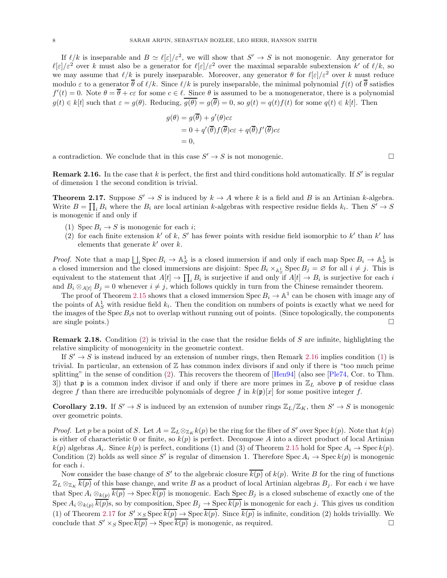If  $\ell/k$  is inseparable and  $B \simeq \ell[\varepsilon]/\varepsilon^2$ , we will show that  $S' \to S$  is not monogenic. Any generator for  $\ell[\varepsilon]/\varepsilon^2$  over k must also be a generator for  $\ell[\varepsilon]/\varepsilon^2$  over the maximal separable subextension k' of  $\ell/k$ , so we may assume that  $\ell/k$  is purely inseparable. Moreover, any generator  $\theta$  for  $\ell[\varepsilon]/\varepsilon^2$  over k must reduce modulo  $\varepsilon$  to a generator  $\overline{\theta}$  of  $\ell/k$ . Since  $\ell/k$  is purely inseparable, the minimal polynomial  $f(t)$  of  $\overline{\theta}$  satisfies  $f'(t) = 0$ . Note  $\theta = \overline{\theta} + c\varepsilon$  for some  $c \in \ell$ . Since  $\theta$  is assumed to be a monogenerator, there is a polynomial  $g(t) \in k[t]$  such that  $\varepsilon = g(\theta)$ . Reducing,  $\overline{g(\theta)} = g(\overline{\theta}) = 0$ , so  $g(t) = q(t)f(t)$  for some  $q(t) \in k[t]$ . Then

$$
g(\theta) = g(\overline{\theta}) + g'(\theta)c\varepsilon
$$
  
= 0 + q'(\overline{\theta})f(\overline{\theta})c\varepsilon + q(\overline{\theta})f'(\overline{\theta})c\varepsilon  
= 0,

a contradiction. We conclude that in this case  $S' \to S$  is not monogenic.

<span id="page-7-2"></span>**Remark 2.16.** In the case that  $k$  is perfect, the first and third conditions hold automatically. If  $S'$  is regular of dimension 1 the second condition is trivial.

<span id="page-7-4"></span>**Theorem 2.17.** Suppose  $S' \to S$  is induced by  $k \to A$  where k is a field and B is an Artinian k-algebra. Write  $B = \prod_i B_i$  where the  $B_i$  are local artinian k-algebras with respective residue fields  $k_i$ . Then  $S' \to S$ is monogenic if and only if

- <span id="page-7-3"></span><span id="page-7-1"></span>(1) Spec  $B_i \to S$  is monogenic for each i;
- (2) for each finite extension  $k'$  of k, S' has fewer points with residue field isomorphic to  $k'$  than  $k'$  has elements that generate  $k'$  over  $k$ .

*Proof.* Note that a map  $\bigcup_i$  Spec  $B_i \to \mathbb{A}^1_S$  is a closed immersion if and only if each map Spec  $B_i \to \mathbb{A}^1_S$  is a closed immersion and the closed immersions are disjoint: Spec  $B_i \times_{\mathbb{A}^1_S} \text{Spec } B_j = \emptyset$  for all  $i \neq j$ . This is equivalent to the statement that  $A[t] \to \prod_i B_i$  is surjective if and only if  $A[t] \to B_i$  is surjective for each i and  $B_i \otimes_{A[t]} B_j = 0$  whenever  $i \neq j$ , which follows quickly in turn from the Chinese remainder theorem.

The proof of Theorem [2.15](#page-6-1) shows that a closed immersion  $\text{Spec } B_i \to \mathbb{A}^1$  can be chosen with image any of the points of  $\mathbb{A}^1_S$  with residue field  $k_i$ . Then the condition on numbers of points is exactly what we need for the images of the Spec  $B_i$ s not to overlap without running out of points. (Since topologically, the components are single points.)  $\Box$ 

**Remark 2.18.** Condition [\(2\)](#page-7-1) is trivial in the case that the residue fields of S are infinite, highlighting the relative simplicity of monogenicity in the geometric context.

If  $S' \to S$  is instead induced by an extension of number rings, then Remark [2.16](#page-7-2) implies condition [\(1\)](#page-7-3) is trivial. In particular, an extension of  $Z$  has common index divisors if and only if there is "too much prime splitting" in the sense of condition [\(2\)](#page-7-1). This recovers the theorem of [\[Hen94\]](#page-28-3) (also see [\[Ple74,](#page-28-0) Cor. to Thm. 3) that **p** is a common index divisor if and only if there are more primes in  $\mathbb{Z}_L$  above **p** of residue class degree f than there are irreducible polynomials of degree f in  $k(\mathfrak{p})[x]$  for some positive integer f.

<span id="page-7-0"></span>**Corollary 2.19.** If  $S' \to S$  is induced by an extension of number rings  $\mathbb{Z}_L/\mathbb{Z}_K$ , then  $S' \to S$  is monogenic over geometric points.

*Proof.* Let p be a point of S. Let  $A = \mathbb{Z}_L \otimes_{\mathbb{Z}_K} k(p)$  be the ring for the fiber of S' over Spec  $k(p)$ . Note that  $k(p)$ is either of characteristic 0 or finite, so  $k(p)$  is perfect. Decompose A into a direct product of local Artinian  $k(p)$  algebras  $A_i$ . Since  $k(p)$  is perfect, conditions (1) and (3) of Theorem [2.15](#page-6-1) hold for Spec  $A_i \to \text{Spec } k(p)$ . Condition (2) holds as well since S' is regular of dimension 1. Therefore  $\text{Spec } A_i \to \text{Spec } k(p)$  is monogenic for each i.

Now consider the base change of S' to the algebraic closure  $\overline{k(p)}$  of  $k(p)$ . Write B for the ring of functions  $\mathbb{Z}_L \otimes_{\mathbb{Z}_K} \overline{k(p)}$  of this base change, and write B as a product of local Artinian algebras  $B_j$ . For each i we have that  $Spec A_i \otimes_{k(p)} \overline{k(p)} \to Spec \overline{k(p)}$  is monogenic. Each  $Spec B_j$  is a closed subscheme of exactly one of the Spec  $A_i \otimes_{k(p)} \overline{k(p)}$ s, so by composition, Spec  $B_j \to \text{Spec } \overline{k(p)}$  is monogenic for each j. This gives us condition (1) of Theorem [2.17](#page-7-4) for  $S' \times_S \operatorname{Spec} \overline{k(p)} \to \operatorname{Spec} \overline{k(p)}$ . Since  $\overline{k(p)}$  is infinite, condition (2) holds triviallly. We conclude that  $S' \times_S \text{Spec } \overline{k(p)} \to \text{Spec } \overline{k(p)}$  is monogenic, as required.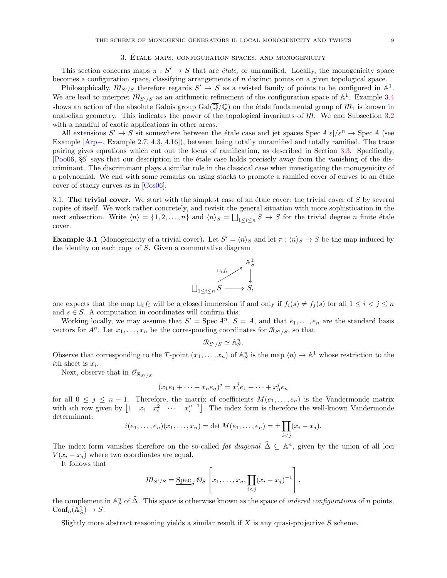### 3. Etale maps, configuration spaces, and monogenicity ´

<span id="page-8-0"></span>This section concerns maps  $\pi : S' \to S$  that are *étale*, or unramified. Locally, the monogenicity space becomes a configuration space, classifying arrangements of n distinct points on a given topological space.

Philosophically,  $m_{S'/S}$  therefore regards  $S' \to S$  as a twisted family of points to be configured in  $\mathbb{A}^1$ . We are lead to interpret  $m_{S'/S}$  as an arithmetic refinement of the configuration space of  $\mathbb{A}^1$ . Example [3.4](#page-11-0) shows an action of the absolute Galois group Gal( $\overline{Q}/\overline{Q}$ ) on the étale fundamental group of  $M_1$  is known in anabelian geometry. This indicates the power of the topological invariants of  $m$ . We end Subsection [3.2](#page-9-0) with a handful of exotic applications in other areas.

All extensions  $S' \to S$  sit somewhere between the étale case and jet spaces  $\operatorname{Spec} A[\varepsilon]/\varepsilon^n \to \operatorname{Spec} A$  (see Example [\[Arp+,](#page-27-1) Example 2.7, 4.3, 4.16]), between being totally unramified and totally ramified. The trace pairing gives equations which cut out the locus of ramification, as described in Section [3.3.](#page-14-0) Specifically, [\[Poo06,](#page-28-7) §6] says that our description in the ´etale case holds precisely away from the vanishing of the discriminant. The discriminant plays a similar role in the classical case when investigating the monogenicity of a polynomial. We end with some remarks on using stacks to promote a ramified cover of curves to an étale cover of stacky curves as in [\[Cos06](#page-27-2)].

<span id="page-8-1"></span>3.1. The trivial cover. We start with the simplest case of an étale cover: the trivial cover of  $S$  by several copies of itself. We work rather concretely, and revisit the general situation with more sophistication in the next subsection. Write  $\langle n \rangle = \{1, 2, ..., n\}$  and  $\langle n \rangle_S = \bigsqcup_{1 \leq i \leq n} S \to S$  for the trivial degree n finite étale cover.

**Example 3.1** (Monogenicity of a trivial cover). Let  $S' = \langle n \rangle_S$  and let  $\pi : \langle n \rangle_S \to S$  be the map induced by the identity on each copy of S. Given a commutative diagram



one expects that the map  $\sqcup_i f_i$  will be a closed immersion if and only if  $f_i(s) \neq f_j(s)$  for all  $1 \leq i < j \leq n$ and  $s \in S.$  A computation in coordinates will confirm this.

Working locally, we may assume that  $S' = \text{Spec } A^n$ ,  $S = A$ , and that  $e_1, \ldots, e_n$  are the standard basis vectors for  $A^n$ . Let  $x_1, \ldots, x_n$  be the corresponding coordinates for  $\mathcal{R}_{S'/S}$ , so that

$$
\mathcal{R}_{S'/S} \simeq \mathbb{A}^n_S.
$$

Observe that corresponding to the T-point  $(x_1, \ldots, x_n)$  of  $\mathbb{A}^n_S$  is the map  $\langle n \rangle \to \mathbb{A}^1$  whose restriction to the ith sheet is  $x_i$ .

Next, observe that in  $\mathscr{O}_{\mathcal{R}_{S'/S}}$ 

$$
(x_1e_1 + \dots + x_ne_n)^j = x_1^j e_1 + \dots + x_n^j e_n
$$

for all  $0 \leq j \leq n-1$ . Therefore, the matrix of coefficients  $M(e_1, \ldots, e_n)$  is the Vandermonde matrix with *i*th row given by  $\begin{bmatrix} 1 & x_i & x_i^2 & \cdots & x_i^{n-1} \end{bmatrix}$ . The index form is therefore the well-known Vandermonde determinant:

$$
i(e_1,...,e_n)(x_1,...,x_n) = \det M(e_1,...,e_n) = \pm \prod_{i
$$

The index form vanishes therefore on the so-called *fat diagonal*  $\hat{\Delta} \subseteq \mathbb{A}^n$ , given by the union of all loci  $V(x_i - x_j)$  where two coordinates are equal.

It follows that

$$
m_{S'/S} = \underline{\text{Spec}}_S \, \mathcal{O}_S \left[ x_1, \ldots, x_n, \prod_{i < j} (x_i - x_j)^{-1} \right],
$$

the complement in  $\mathbb{A}^n_S$  of  $\widehat{\Delta}$ . This space is otherwise known as the space of *ordered configurations* of *n* points,  $\text{Conf}_n(\mathbb{A}^1_S) \to S.$ 

Slightly more abstract reasoning yields a similar result if  $X$  is any quasi-projective  $S$  scheme.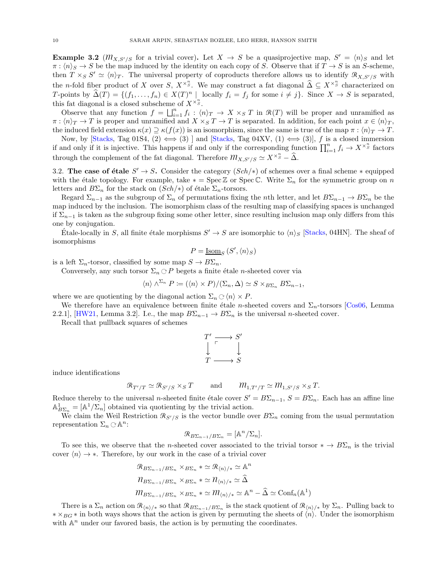**Example 3.2**  $(M_{X,S'/S}$  for a trivial cover). Let  $X \to S$  be a quasiprojective map,  $S' = \langle n \rangle_S$  and let  $\pi : \langle n \rangle_S \to S$  be the map induced by the identity on each copy of S. Observe that if  $T \to S$  is an S-scheme, then  $T \times_S S' \simeq \langle n \rangle_T$ . The universal property of coproducts therefore allows us to identify  $\mathcal{R}_{X,S'/S}$  with the n-fold fiber product of X over S,  $X^{\times S}$ . We may construct a fat diagonal  $\widehat{\Delta} \subseteq X^{\times S}$  characterized on T-points by  $\widehat{\Delta}(T) = \{(f_1, \ldots, f_n) \in X(T)^n \mid \text{locally } f_i = f_j \text{ for some } i \neq j\}.$  Since  $X \to S$  is separated, this fat diagonal is a closed subscheme of  $X^{\times}$ <sup>n</sup><sup>n</sup>.

Observe that any function  $f = \bigsqcup_{i=1}^n f_i : \langle n \rangle_T \to X \times_S T$  in  $\mathcal{R}(T)$  will be proper and unramified as  $\pi : \langle n \rangle_T \to T$  is proper and unramified and  $X \times_S T \to T$  is separated. In addition, for each point  $x \in \langle n \rangle_T$ , the induced field extension  $\kappa(x) \supseteq \kappa(f(x))$  is an isomorphism, since the same is true of the map  $\pi : \langle n \rangle_T \to T$ .

Now, by [\[Stacks,](#page-28-1) Tag 01S4, (2)  $\Longleftrightarrow$  (3) ] and [Stacks, Tag 04XV, (1)  $\Longleftrightarrow$  (3)], f is a closed immersion if and only if it is injective. This happens if and only if the corresponding function  $\prod_{i=1}^n f_i \to X^{\times n}$  factors through the complement of the fat diagonal. Therefore  $m_{X,S'/S} \simeq X^{\times {n \over S}} - \widehat{\Delta}$ .

<span id="page-9-0"></span>3.2. The case of étale  $S' \to S$ . Consider the category  $(Sch/\ast)$  of schemes over a final scheme  $*$  equipped with the étale topology. For example, take  $* = \text{Spec } \mathbb{Z}$  or Spec C. Write  $\Sigma_n$  for the symmetric group on n letters and  $B\Sigma_n$  for the stack on  $(Sch/\mathcal{F})$  of étale  $\Sigma_n$ -torsors.

Regard  $\Sigma_{n-1}$  as the subgroup of  $\Sigma_n$  of permutations fixing the *n*th letter, and let  $B\Sigma_{n-1} \to B\Sigma_n$  be the map induced by the inclusion. The isomorphism class of the resulting map of classifying spaces is unchanged if  $\Sigma_{n-1}$  is taken as the subgroup fixing some other letter, since resulting inclusion map only differs from this one by conjugation.

Etale-locally in S, all finite étale morphisms  $S' \to S$  are isomorphic to  $\langle n \rangle_S$  [\[Stacks,](#page-28-1) 04HN]. The sheaf of isomorphisms

$$
P = \underline{\mathrm{Isom}}_S \left( S', \langle n \rangle_S \right)
$$

is a left  $\Sigma_n$ -torsor, classified by some map  $S \to B\Sigma_n$ .

Conversely, any such torsor  $\Sigma_n \subset P$  begets a finite étale *n*-sheeted cover via

$$
\langle n \rangle \wedge^{\Sigma_n} P \coloneqq (\langle n \rangle \times P) / (\Sigma_n, \Delta) \simeq S \times_{B\Sigma_n} B \Sigma_{n-1},
$$

where we are quotienting by the diagonal action  $\Sigma_n \subset (n) \times P$ .

We therefore have an equivalence between finite étale n-sheeted covers and  $\Sigma_n$ -torsors [\[Cos06,](#page-27-2) Lemma 2.2.1], [\[HW21,](#page-28-8) Lemma 3.2]. I.e., the map  $B\Sigma_{n-1} \to B\Sigma_n$  is the universal *n*-sheeted cover.

Recall that pullback squares of schemes

$$
\begin{array}{ccc}\nT' & \longrightarrow & S' \\
\downarrow & & \downarrow \\
T & \longrightarrow & S\n\end{array}
$$

induce identifications

$$
\mathcal{R}_{T'/T} \simeq \mathcal{R}_{S'/S} \times_S T
$$
 and  $\mathcal{M}_{1,T'/T} \simeq \mathcal{M}_{1,S'/S} \times_S T$ .

Reduce thereby to the universal *n*-sheeted finite étale cover  $S' = B\Sigma_{n-1}$ ,  $S = B\Sigma_n$ . Each has an affine line  $\mathbb{A}_{B\Sigma_n}^1 = [\mathbb{A}^1/\Sigma_n]$  obtained via quotienting by the trivial action.

We claim the Weil Restriction  $\mathcal{R}_{S'/S}$  is the vector bundle over  $B\Sigma_n$  coming from the usual permutation representation  $\Sigma_n \subset \mathbb{A}^n$ :

$$
\mathcal{R}_{B\Sigma_{n-1}/B\Sigma_n} = [\mathbb{A}^n/\Sigma_n].
$$

To see this, we observe that the n-sheeted cover associated to the trivial torsor  $* \to B\Sigma_n$  is the trivial cover  $\langle n \rangle \rightarrow *$ . Therefore, by our work in the case of a trivial cover

$$
\mathcal{R}_{B\Sigma_{n-1}/B\Sigma_n} \times_{B\Sigma_n} * \simeq \mathcal{R}_{\langle n \rangle / *} \simeq \mathbb{A}^n
$$
  

$$
\eta_{B\Sigma_{n-1}/B\Sigma_n} \times_{B\Sigma_n} * \simeq \eta_{\langle n \rangle / *} \simeq \widehat{\Delta}
$$
  

$$
\eta_{B\Sigma_{n-1}/B\Sigma_n} \times_{B\Sigma_n} * \simeq \eta_{\langle n \rangle / *} \simeq \mathbb{A}^n - \widehat{\Delta} \simeq \text{Conf}_n(\mathbb{A}^1)
$$

There is a  $\Sigma_n$  action on  $\mathcal{R}_{\langle n \rangle}/*$  so that  $\mathcal{R}_{B\Sigma_{n-1}/B\Sigma_n}$  is the stack quotient of  $\mathcal{R}_{\langle n \rangle}/*$  by  $\Sigma_n$ . Pulling back to  $* \times_{BG} *$  in both ways shows that the action is given by permuting the sheets of  $\langle n \rangle$ . Under the isomorphism with  $\mathbb{A}^n$  under our favored basis, the action is by permuting the coordinates.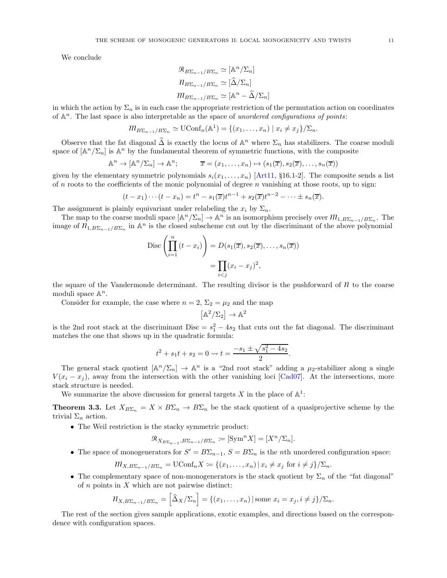We conclude

$$
\mathcal{R}_{B\Sigma_{n-1}/B\Sigma_n} \simeq [\mathbb{A}^n/\Sigma_n]
$$
  

$$
\mathcal{R}_{B\Sigma_{n-1}/B\Sigma_n} \simeq [\hat{\Delta}/\Sigma_n]
$$
  

$$
\mathcal{M}_{B\Sigma_{n-1}/B\Sigma_n} \simeq [\mathbb{A}^n - \hat{\Delta}/\Sigma_n]
$$

in which the action by  $\Sigma_n$  is in each case the appropriate restriction of the permutation action on coordinates of  $\mathbb{A}^n$ . The last space is also interpretable as the space of unordered configurations of points:

$$
m_{B\Sigma_{n-1}/B\Sigma_n} \simeq \mathrm{UConf}_n(\mathbb{A}^1) = \{(x_1,\ldots,x_n) \mid x_i \neq x_j\}/\Sigma_n.
$$

Observe that the fat diagonal  $\hat{\Delta}$  is exactly the locus of  $\mathbb{A}^n$  where  $\Sigma_n$  has stabilizers. The coarse moduli space of  $[\mathbb{A}^n/\Sigma_n]$  is  $\mathbb{A}^n$  by the fundamental theorem of symmetric functions, with the composite

$$
\mathbb{A}^n \to [\mathbb{A}^n/\Sigma_n] \to \mathbb{A}^n; \qquad \overline{x} = (x_1, \dots, x_n) \mapsto (s_1(\overline{x}), s_2(\overline{x}), \dots, s_n(\overline{x}))
$$

given by the elementary symmetric polynomials  $s_i(x_1, \ldots, x_n)$  [\[Art11,](#page-27-3) §16.1-2]. The composite sends a list of n roots to the coefficients of the monic polynomial of degree n vanishing at those roots, up to sign:

$$
(t-x_1)\cdots (t-x_n)=t^n-s_1(\overline{x})t^{n-1}+s_2(\overline{x})t^{n-2}-\cdots\pm s_n(\overline{x}).
$$

The assignment is plainly equivariant under relabeling the  $x_i$  by  $\Sigma_n$ .

The map to the coarse moduli space  $[\mathbb{A}^n/\Sigma_n] \to \mathbb{A}^n$  is an isomorphism precisely over  $m_{1,B\Sigma_{n-1}/B\Sigma_n}$ . The image of  $n_{1,B\Sigma_{n-1}/B\Sigma_n}$  in  $\mathbb{A}^n$  is the closed subscheme cut out by the discriminant of the above polynomial

$$
\operatorname{Disc}\left(\prod_{i=1}^{n} (t - x_i)\right) = D(s_1(\overline{x}), s_2(\overline{x}), \dots, s_n(\overline{x}))
$$

$$
= \prod_{i < j} (x_i - x_j)^2,
$$

the square of the Vandermonde determinant. The resulting divisor is the pushforward of  $n$  to the coarse moduli space  $\mathbb{A}^n$ .

Consider for example, the case where  $n = 2$ ,  $\Sigma_2 = \mu_2$  and the map

$$
\left[ \mathbb{A}^2/\Sigma_2 \right] \to \mathbb{A}^2
$$

is the 2nd root stack at the discriminant Disc =  $s_1^2 - 4s_2$  that cuts out the fat diagonal. The discriminant matches the one that shows up in the quadratic formula:

$$
t^{2} + s_{1}t + s_{2} = 0 \leftrightarrow t = \frac{-s_{1} \pm \sqrt{s_{1}^{2} - 4s_{2}}}{2}.
$$

The general stack quotient  $[\mathbb{A}^n/\Sigma_n] \to \mathbb{A}^n$  is a "2nd root stack" adding a  $\mu_2$ -stabilizer along a single  $V(x_i - x_j)$ , away from the intersection with the other vanishing loci [\[Cad07\]](#page-27-4). At the intersections, more stack structure is needed.

We summarize the above discussion for general targets X in the place of  $\mathbb{A}^1$ :

**Theorem 3.3.** Let  $X_{B\Sigma_n} = X \times B\Sigma_n \to B\Sigma_n$  be the stack quotient of a quasiprojective scheme by the trivial  $\Sigma_n$  action.

• The Weil restriction is the stacky symmetric product:

$$
\mathcal{R}_{X_{B\Sigma_{n-1}}, B\Sigma_{n-1}/B\Sigma_n} \coloneqq [\operatorname{Sym}^n X] = [X^n / \Sigma_n].
$$

• The space of monogenerators for  $S' = B\Sigma_{n-1}$ ,  $S = B\Sigma_n$  is the *n*th unordered configuration space:

$$
m_{X,B\Sigma_{n-1}/B\Sigma_n} = \text{UConf}_n X \coloneqq \{(x_1,\ldots,x_n) \mid x_i \neq x_j \text{ for } i \neq j\}/\Sigma_n.
$$

• The complementary space of non-monogenerators is the stack quotient by  $\Sigma_n$  of the "fat diagonal" of  $n$  points in  $X$  which are not pairwise distinct:

$$
n_{X,B\Sigma_{n-1}/B\Sigma_n} = \left[\widehat{\Delta}_X/\Sigma_n\right] = \{(x_1,\ldots,x_n) \mid \text{some } x_i = x_j, i \neq j\}/\Sigma_n.
$$

The rest of the section gives sample applications, exotic examples, and directions based on the correspondence with configuration spaces.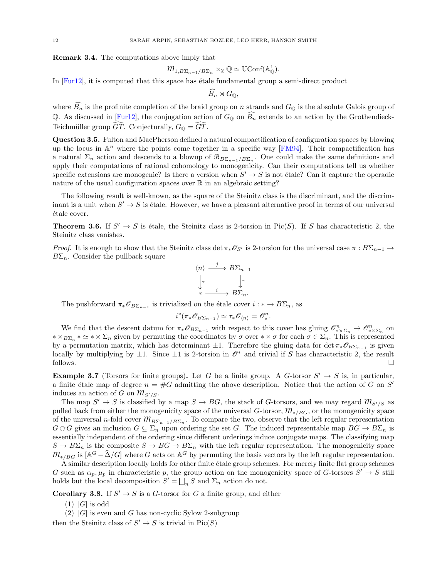<span id="page-11-0"></span>Remark 3.4. The computations above imply that

$$
m_{1,B\Sigma_{n-1}/B\Sigma_n} \times_{\mathbb{Z}} \mathbb{Q} \simeq \mathrm{UConf}(\mathbb{A}_{\mathbb{Q}}^1).
$$

In  $[Furl2]$ , it is computed that this space has étale fundamental group a semi-direct product

$$
\widehat{B_n} \rtimes G_{\mathbb{Q}},
$$

where  $\widehat{B_n}$  is the profinite completion of the braid group on n strands and  $G_{\mathbb{Q}}$  is the absolute Galois group of Q. As discussed in [\[Fur12](#page-28-9)], the conjugation action of  $G_{\mathbb{Q}}$  on  $\widehat{B_n}$  extends to an action by the Grothendieck-Teichmüller group  $GT$ . Conjecturally,  $G_{\mathbb{Q}} = GT$ .

Question 3.5. Fulton and MacPherson defined a natural compactification of configuration spaces by blowing up the locus in  $\mathbb{A}^n$  where the points come together in a specific way [\[FM94](#page-28-10)]. Their compactification has a natural  $\Sigma_n$  action and descends to a blowup of  $\mathcal{R}_{B\Sigma_{n-1}/B\Sigma_n}$ . One could make the same definitions and apply their computations of rational cohomology to monogenicity. Can their computations tell us whether specific extensions are monogenic? Is there a version when  $S' \to S$  is not étale? Can it capture the operadic nature of the usual configuration spaces over  $\mathbb R$  in an algebraic setting?

The following result is well-known, as the square of the Steinitz class is the discriminant, and the discriminant is a unit when  $S' \to S$  is étale. However, we have a pleasant alternative proof in terms of our universal étale cover.

<span id="page-11-1"></span>**Theorem 3.6.** If  $S' \to S$  is étale, the Steinitz class is 2-torsion in Pic(S). If S has characteristic 2, the Steinitz class vanishes.

*Proof.* It is enough to show that the Steinitz class det  $\pi_*\mathscr{O}_{S'}$  is 2-torsion for the universal case  $\pi : B\Sigma_{n-1} \to$  $B\Sigma_n$ . Consider the pullback square

$$
\langle n \rangle \xrightarrow{j} B\Sigma_{n-1}
$$

$$
\downarrow_{\tau} \qquad \qquad \downarrow_{\pi}
$$

$$
\ast \xrightarrow{i} B\Sigma_n.
$$

The pushforward  $\pi_* \mathscr{O}_{B\Sigma_{n-1}}$  is trivialized on the étale cover  $i : * \to B\Sigma_n$ , as

$$
i^*(\pi_*\mathscr{O}_{B\Sigma_{n-1}}) \simeq \tau_*\mathscr{O}_{\langle n \rangle} = \mathscr{O}_*^n.
$$

We find that the descent datum for  $\pi_* \mathscr{O}_{B\Sigma_{n-1}}$  with respect to this cover has gluing  $\mathscr{O}_{*\times\Sigma_n}^n \to \mathscr{O}_{*\times\Sigma_n}^n$  on  $* \times_{B\Sigma_n} * \simeq * \times \Sigma_n$  given by permuting the coordinates by  $\sigma$  over  $* \times \sigma$  for each  $\sigma \in \Sigma_n$ . This is represented by a permutation matrix, which has determinant  $\pm 1$ . Therefore the gluing data for det  $\pi_* \mathscr{O}_{B\Sigma_{n-1}}$  is given locally by multiplying by  $\pm 1$ . Since  $\pm 1$  is 2-torsion in  $\mathcal{O}^*$  and trivial if S has characteristic 2, the result follows. follows.  $\Box$ 

<span id="page-11-2"></span>**Example 3.7** (Torsors for finite groups). Let G be a finite group. A G-torsor  $S' \rightarrow S$  is, in particular, a finite étale map of degree  $n = \#G$  admitting the above description. Notice that the action of G on S' induces an action of G on  $m_{S'/S}$ .

The map  $S' \to S$  is classified by a map  $S \to BG$ , the stack of G-torsors, and we may regard  $m_{S'/S}$  as pulled back from either the monogenicity space of the universal G-torsor,  $m_{\ast/BG}$ , or the monogenicity space of the universal *n*-fold cover  $m_{B\Sigma_{n-1}/B\Sigma_n}$ . To compare the two, observe that the left regular representation  $G \n\circ G$  gives an inclusion  $G \subseteq \Sigma_n$  upon ordering the set G. The induced representable map  $BG \to B\Sigma_n$  is essentially independent of the ordering since different orderings induce conjugate maps. The classifying map  $S \to B\Sigma_n$  is the composite  $S \to BG \to B\Sigma_n$  with the left regular representation. The monogenicity space  $m_{*/BG}$  is  $\mathbb{A}^G - \widehat{\Delta}/G$  where G acts on  $\mathbb{A}^G$  by permuting the basis vectors by the left regular representation.

 $\hat{A}$  similar description locally holds for other finite étale group schemes. For merely finite flat group schemes G such as  $\alpha_p, \mu_p$  in characteristic p, the group action on the monogenicity space of G-torsors  $S' \to S$  still holds but the local decomposition  $S' = \bigsqcup_n S$  and  $\Sigma_n$  action do not.

**Corollary 3.8.** If  $S' \to S$  is a G-torsor for G a finite group, and either

 $(1)$  |G| is odd

 $(2)$  |G| is even and G has non-cyclic Sylow 2-subgroup

then the Steinitz class of  $S' \to S$  is trivial in  $Pic(S)$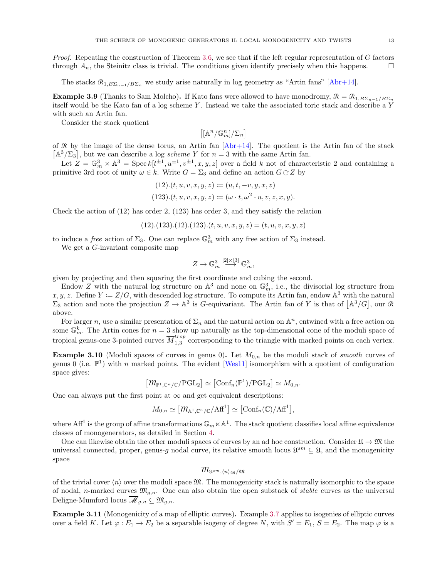*Proof.* Repeating the construction of Theorem [3.6,](#page-11-1) we see that if the left regular representation of  $G$  factors through  $A_n$ , the Steinitz class is trivial. The conditions given identify precisely when this happens.

The stacks  $\mathcal{R}_{1,B\Sigma_{n-1}/B\Sigma_n}$  we study arise naturally in log geometry as "Artin fans" [\[Abr+14\]](#page-27-5).

**Example 3.9** (Thanks to Sam Molcho). If Kato fans were allowed to have monodromy,  $\mathcal{R} = \mathcal{R}_{1,B\Sigma_{n-1}/B\Sigma_n}$ itself would be the Kato fan of a log scheme Y . Instead we take the associated toric stack and describe a Y with such an Artin fan.

Consider the stack quotient

$$
\left[\left[{\mathbb A}^n/{\mathbb G}_m^n\right]/{\Sigma}_n\right]
$$

of R by the image of the dense torus, an Artin fan  $[Abr+14]$ . The quotient is the Artin fan of the stack  $[A^{3}/\Sigma_{3}]$ , but we can describe a log *scheme Y* for  $n=3$  with the same Artin fan.

Let  $Z = \mathbb{G}_m^3 \times \mathbb{A}^3 = \text{Spec } k[t^{\pm 1}, u^{\pm 1}, v^{\pm 1}, x, y, z]$  over a field k not of characteristic 2 and containing a primitive 3rd root of unity  $\omega \in k$ . Write  $G = \Sigma_3$  and define an action  $G \subset Z$  by

(12).
$$
(t, u, v, x, y, z) := (u, t, -v, y, x, z)
$$
  
(123). $(t, u, v, x, y, z) := (\omega \cdot t, \omega^2 \cdot u, v, z, x, y).$ 

Check the action of (12) has order 2, (123) has order 3, and they satisfy the relation

 $(12),(123),(12),(123),(t,u,v,x,y,z) = (t,u,v,x,y,z)$ 

to induce a *free* action of  $\Sigma_3$ . One can replace  $\mathbb{G}_m^3$  with any free action of  $\Sigma_3$  instead.

We get a G-invariant composite map

$$
Z \to {\mathbb G}_m^3 \stackrel{[2] \times [3]}{\longrightarrow} {\mathbb G}_m^3,
$$

given by projecting and then squaring the first coordinate and cubing the second.

Endow Z with the natural log structure on  $\mathbb{A}^3$  and none on  $\mathbb{G}_m^3$ , i.e., the divisorial log structure from  $x, y, z$ . Define  $Y \coloneqq Z/G$ , with descended log structure. To compute its Artin fan, endow  $\mathbb{A}^3$  with the natural  $\Sigma_3$  action and note the projection  $Z \to \mathbb{A}^3$  is G-equivariant. The Artin fan of Y is that of  $[\mathbb{A}^3/G]$ , our R above.

For larger n, use a similar presentation of  $\Sigma_n$  and the natural action on  $\mathbb{A}^n$ , entwined with a free action on some  $\mathbb{G}_m^k$ . The Artin cones for  $n=3$  show up naturally as the top-dimensional cone of the moduli space of tropical genus-one 3-pointed curves  $\overline{M}_{1,3}^{trop}$  $\frac{1}{1,3}$  corresponding to the triangle with marked points on each vertex.

**Example 3.10** (Moduli spaces of curves in genus 0). Let  $M_{0,n}$  be the moduli stack of *smooth* curves of genus 0 (i.e.  $\mathbb{P}^1$ ) with n marked points. The evident [\[Wes11](#page-28-11)] isomorphism with a quotient of configuration space gives:

 $\left[ \mathcal{m}_{\mathbb{P}^1, \mathbb{C}^n/\mathbb{C}}/\mathrm{PGL}_2\right] \simeq \left[ \mathrm{Conf}_n(\mathbb{P}^1)/\mathrm{PGL}_2\right] \simeq M_{0,n}.$ 

One can always put the first point at  $\infty$  and get equivalent descriptions:

$$
M_{0,n} \simeq [m_{\mathbb{A}^1, \mathbb{C}^n/\mathbb{C}}/\mathbb{A}\mathbf{f}^1] \simeq [\mathsf{Conf}_n(\mathbb{C})/\mathbb{A}\mathbf{f}^1],
$$

where Aff<sup>1</sup> is the group of affine transformations  $\mathbb{G}_m \ltimes \mathbb{A}^1$ . The stack quotient classifies local affine equivalence classes of monogenerators, as detailed in Section [4.](#page-14-1)

One can likewise obtain the other moduli spaces of curves by an ad hoc construction. Consider  $\mathfrak{U} \to \mathfrak{M}$  the universal connected, proper, genus-g nodal curve, its relative smooth locus  $\mathfrak{U}^{sm} \subseteq \mathfrak{U}$ , and the monogenicity space

$$
\overline{m}_{\mathfrak{U}^{sm}, \langle n \rangle_{\mathfrak{M}} / \mathfrak{M}}
$$

of the trivial cover  $\langle n \rangle$  over the moduli space  $\mathfrak{M}$ . The monogenicity stack is naturally isomorphic to the space of nodal, n-marked curves  $\mathfrak{M}_{q,n}$ . One can also obtain the open substack of *stable* curves as the universal Deligne-Mumford locus  $\overline{\mathcal{M}}_{g,n} \subseteq \mathfrak{M}_{g,n}$ .

Example 3.11 (Monogenicity of a map of elliptic curves). Example [3.7](#page-11-2) applies to isogenies of elliptic curves over a field K. Let  $\varphi: E_1 \to E_2$  be a separable isogeny of degree N, with  $S' = E_1$ ,  $S = E_2$ . The map  $\varphi$  is a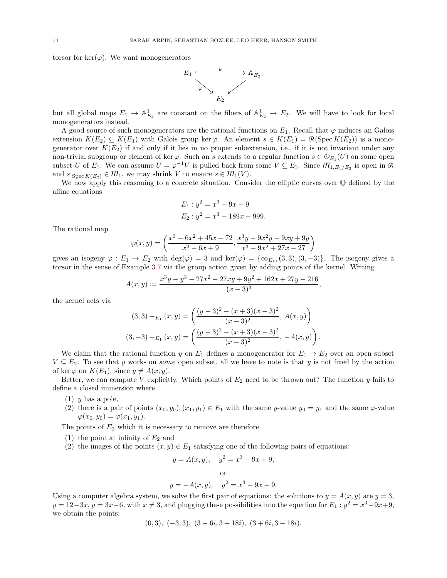torsor for ker( $\varphi$ ). We want monogenerators



but all global maps  $E_1 \to \mathbb{A}^1_{E_2}$  are constant on the fibers of  $\mathbb{A}^1_{E_2} \to E_2$ . We will have to look for local monogenerators instead.

A good source of such monogenerators are the rational functions on  $E_1$ . Recall that  $\varphi$  induces an Galois extension  $K(E_2) \subseteq K(E_1)$  with Galois group ker $\varphi$ . An element  $s \in K(E_1) = \mathcal{R}(\mathrm{Spec} K(E_2))$  is a monogenerator over  $K(E_2)$  if and only if it lies in no proper subextension, i.e., if it is not invariant under any non-trivial subgroup or element of ker $\varphi$ . Such an s extends to a regular function  $s \in \mathcal{O}_{E_1}(U)$  on some open subset U of  $E_1$ . We can assume  $U = \varphi^{-1}V$  is pulled back from some  $V \subseteq E_2$ . Since  $M_{1,E_1/E_2}$  is open in R and  $s|_{\text{Spec } K(E_2)} \in \mathcal{M}_1$ , we may shrink V to ensure  $s \in \mathcal{M}_1(V)$ .

We now apply this reasoning to a concrete situation. Consider the elliptic curves over Q defined by the affine equations

$$
E_1: y^2 = x^3 - 9x + 9
$$
  

$$
E_2: y^2 = x^3 - 189x - 999.
$$

The rational map

$$
\varphi(x,y) = \left(\frac{x^3 - 6x^2 + 45x - 72}{x^2 - 6x + 9}, \frac{x^3y - 9x^2y - 9xy + 9y}{x^3 - 9x^2 + 27x - 27}\right)
$$

gives an isogeny  $\varphi : E_1 \to E_2$  with  $\deg(\varphi) = 3$  and  $\ker(\varphi) = {\infty_{E_1, (3, 3), (3, -3)}}$ . The isogeny gives a torsor in the sense of Example [3.7](#page-11-2) via the group action given by adding points of the kernel. Writing

$$
A(x,y) := \frac{x^3y - y^3 - 27x^2 - 27xy + 9y^2 + 162x + 27y - 216}{(x-3)^3},
$$

the kernel acts via

$$
(3,3) +_{E_1}(x,y) = \left(\frac{(y-3)^2 - (x+3)(x-3)^2}{(x-3)^2}, A(x,y)\right)
$$

$$
(3,-3) +_{E_1}(x,y) = \left(\frac{(y-3)^2 - (x+3)(x-3)^2}{(x-3)^2}, -A(x,y)\right)
$$

.

We claim that the rational function y on  $E_1$  defines a monogenerator for  $E_1 \rightarrow E_2$  over an open subset  $V \subseteq E_2$ . To see that y works on *some* open subset, all we have to note is that y is not fixed by the action of ker  $\varphi$  on  $K(E_1)$ , since  $y \neq A(x, y)$ .

Better, we can compute V explicitly. Which points of  $E_2$  need to be thrown out? The function y fails to define a closed immersion where

- $(1)$  y has a pole,
- (2) there is a pair of points  $(x_0, y_0), (x_1, y_1) \in E_1$  with the same y-value  $y_0 = y_1$  and the same  $\varphi$ -value  $\varphi(x_0, y_0) = \varphi(x_1, y_1).$

The points of  $E_2$  which it is necessary to remove are therefore

- (1) the point at infinity of  $E_2$  and
- (2) the images of the points  $(x, y) \in E_1$  satisfying one of the following pairs of equations:

$$
y = A(x, y),
$$
  $y^2 = x^3 - 9x + 9,$   
or  
 $y = -A(x, y),$   $y^2 = x^3 - 9x + 9.$ 

Using a computer algebra system, we solve the first pair of equations: the solutions to  $y = A(x, y)$  are  $y = 3$ ,  $y = 12-3x$ ,  $y = 3x-6$ , with  $x \neq 3$ , and plugging these possibilities into the equation for  $E_1 : y^2 = x^3-9x+9$ , we obtain the points:

$$
(0,3), (-3,3), (3-6i,3+18i), (3+6i,3-18i).
$$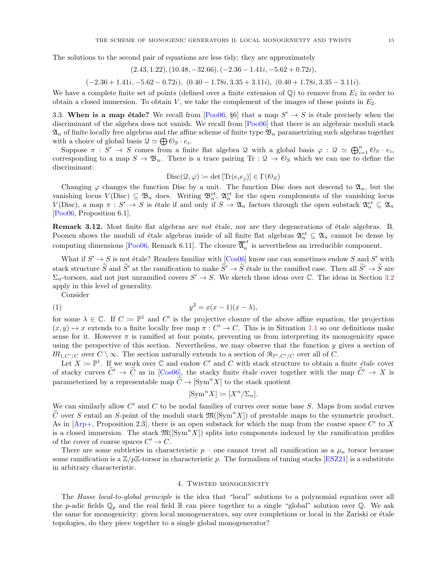The solutions to the second pair of equations are less tidy; they are approximately

$$
(2.43, 1.22), (10.48, -32.66), (-2.36 - 1.41i, -5.62 + 0.72i),
$$

 $(-2.36 + 1.41i, -5.62 - 0.72i), (0.40 - 1.78i, 3.35 + 3.11i), (0.40 + 1.78i, 3.35 - 3.11i).$ 

We have a complete finite set of points (defined over a finite extension of  $\mathbb{Q}$ ) to remove from  $E_1$  in order to obtain a closed immersion. To obtain  $V$ , we take the complement of the images of these points in  $E_2$ .

<span id="page-14-0"></span>3.3. When is a map étale? We recall from [\[Poo06](#page-28-7), §6] that a map  $S' \to S$  is étale precisely when the discriminant of the algebra does not vanish. We recall from [\[Poo06\]](#page-28-7) that there is an algebraic moduli stack  $\mathfrak{A}_n$  of finite locally free algebras and the affine scheme of finite type  $\mathfrak{B}_n$  parametrizing such algebras together with a choice of global basis  $\mathcal{Q} \simeq \bigoplus \mathcal{O}_S \cdot e_i$ .

Suppose  $\pi : S' \to S$  comes from a finite flat algebra  $\mathcal{Q}$  with a global basis  $\varphi : \mathcal{Q} \simeq \bigoplus_{i=1}^n \mathcal{Q}_S \cdot e_i$ , corresponding to a map  $S \to \mathfrak{B}_n$ . There is a trace pairing Tr :  $\mathfrak{Q} \to \mathfrak{O}_S$  which we can use to define the discriminant:

$$
\mathrm{Disc}(\mathcal{Q},\varphi)\coloneqq\det\left[\text{Tr}(e_ie_j)\right]\in\Gamma(\mathcal{O}_S)
$$

Changing  $\varphi$  changes the function Disc by a unit. The function Disc does not descend to  $\mathfrak{A}_n$ , but the vanishing locus  $V(Disc) \subseteq \mathfrak{B}_n$  does. Writing  $\mathfrak{B}_n^{et}, \mathfrak{A}_n^{et}$  for the open complements of the vanishing locus  $V(Disc)$ , a map  $\pi : S' \to S$  is étale if and only if  $S \to \mathfrak{A}_n$  factors through the open substack  $\mathfrak{A}_n^{et} \subseteq \mathfrak{A}_n$ [\[Poo06,](#page-28-7) Proposition 6.1].

**Remark 3.12.** Most finite flat algebras are *not* étale, nor are they degenerations of étale algebras. B. Poonen shows the moduli of étale algebras inside of all finite flat algebras  $\mathfrak{A}_n^{et} \subseteq \mathfrak{A}_n$  cannot be dense by computing dimensions [\[Poo06,](#page-28-7) Remark 6.11]. The closure  $\overline{\mathfrak{A}}_n^{\epsilon t}$  $\frac{c}{n}$  is nevertheless an irreducible component.

What if  $S' \to S$  is not étale? Readers familiar with  $\text{[Cos06]}$  know one can sometimes endow S and S' with stack structure  $\tilde{S}$  and  $\tilde{S}'$  at the ramification to make  $\tilde{S}' \to \tilde{S}$  étale in the ramified case. Then all  $\tilde{S}' \to \tilde{S}$  are  $\Sigma_n$ -torsors, and not just unramified covers  $S' \to S$ . We sketch these ideas over C. The ideas in Section [3.2](#page-9-0) apply in this level of generality.

Consider

$$
(1) \t\t y^2 = x(x-1)(x-\lambda),
$$

for some  $\lambda \in \mathbb{C}$ . If  $C := \mathbb{P}^1$  and  $C'$  is the projective closure of the above affine equation, the projection  $(x, y) \mapsto x$  extends to a finite locally free map  $\pi : C' \to C$ . This is in Situation [1.1](#page-1-1) so our definitions make sense for it. However  $\pi$  is ramified at four points, preventing us from interpreting its monogenicity space using the perspective of this section. Nevertheless, we may observe that the function  $y$  gives a section of  $m_{1,C'/C}$  over  $C \setminus \infty$ . The section naturally extends to a section of  $\mathcal{R}_{\mathbb{P}^1,C'/C}$  over all of C.

Let  $X := \mathbb{P}^1$ . If we work over  $\mathbb C$  and endow  $C'$  and  $C$  with stack structure to obtain a finite *étale* cover of stacky curves  $\tilde{C}' \to \tilde{C}$  as in [\[Cos06](#page-27-2)], the stacky finite étale cover together with the map  $\tilde{C}' \to X$  is parameterized by a representable map  $\widetilde{C} \to [\mathrm{Sym}^n X]$  to the stack quotient

$$
[\operatorname{Sym}^n X] := [X^n / \Sigma_n].
$$

We can similarly allow  $C'$  and  $C$  to be nodal families of curves over some base  $S$ . Maps from nodal curves  $\tilde{C}$  over S entail an S-point of the moduli stack  $\mathfrak{M}(\mathrm{Sym}^n X)$  of prestable maps to the symmetric product. As in  $[Arp+,$  Proposition 2.3, there is an open substack for which the map from the coarse space  $C'$  to X is a closed immersion. The stack  $\mathfrak{M}(\mathrm{[Sym}^n X])$  splits into components indexed by the ramification profiles of the cover of coarse spaces  $C' \to C$ .

There are some subtleties in characteristic  $p$  – one cannot treat all ramification as a  $\mu_n$  torsor because some ramification is a  $\mathbb{Z}/p\mathbb{Z}$ -torsor in characteristic p. The formalism of tuning stacks [\[ESZ21](#page-28-12)] is a substitute in arbitrary characteristic.

#### 4. Twisted monogenicity

<span id="page-14-1"></span>The Hasse local-to-global principle is the idea that "local" solutions to a polynomial equation over all the p-adic fields  $\mathbb{Q}_p$  and the real field  $\mathbb{R}$  can piece together to a single "global" solution over  $\mathbb{Q}$ . We ask the same for monogenicity: given local monogenerators, say over completions or local in the Zariski or étale topologies, do they piece together to a single global monogenerator?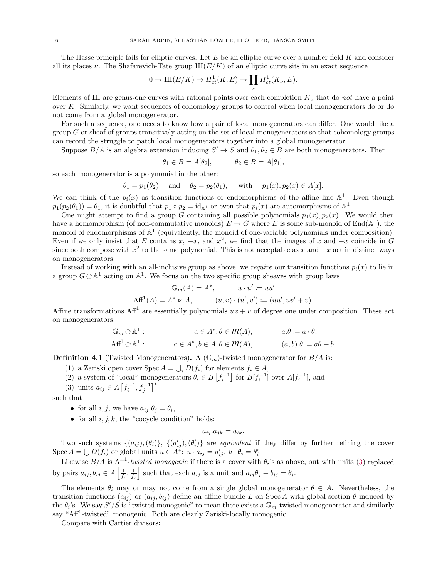The Hasse principle fails for elliptic curves. Let  $E$  be an elliptic curve over a number field  $K$  and consider all its places  $\nu$ . The Shafarevich-Tate group  $III(E/K)$  of an elliptic curve sits in an exact sequence

$$
0 \to \mathrm{III}(E/K) \to H^1_{et}(K,E) \to \prod_{\nu} H^1_{et}(K_{\nu},E).
$$

Elements of III are genus-one curves with rational points over each completion  $K_{\nu}$  that do not have a point over K. Similarly, we want sequences of cohomology groups to control when local monogenerators do or do not come from a global monogenerator.

For such a sequence, one needs to know how a pair of local monogenerators can differ. One would like a group G or sheaf of groups transitively acting on the set of local monogenerators so that cohomology groups can record the struggle to patch local monogenerators together into a global monogenerator.

Suppose  $B/A$  is an algebra extension inducing  $S' \to S$  and  $\theta_1, \theta_2 \in B$  are both monogenerators. Then

$$
\theta_1 \in B = A[\theta_2], \qquad \theta_2 \in B = A[\theta_1],
$$

so each monogenerator is a polynomial in the other:

$$
\theta_1 = p_1(\theta_2)
$$
 and  $\theta_2 = p_2(\theta_1)$ , with  $p_1(x), p_2(x) \in A[x]$ .

We can think of the  $p_i(x)$  as transition functions or endomorphisms of the affine line  $\mathbb{A}^1$ . Even though  $p_1(p_2(\theta_1)) = \theta_1$ , it is doubtful that  $p_1 \circ p_2 = \mathrm{id}_{\mathbb{A}^1}$  or even that  $p_i(x)$  are automorphisms of  $\mathbb{A}^1$ .

One might attempt to find a group G containing all possible polynomials  $p_1(x), p_2(x)$ . We would then have a homomorphism (of non-commutative monoids)  $E \to G$  where E is some sub-monoid of End( $\mathbb{A}^1$ ), the monoid of endomorphisms of  $\mathbb{A}^1$  (equivalently, the monoid of one-variable polynomials under composition). Even if we only insist that E contains x,  $-x$ , and  $x^2$ , we find that the images of x and  $-x$  coincide in G since both compose with  $x^2$  to the same polynomial. This is not acceptable as x and  $-x$  act in distinct ways on monogenerators.

Instead of working with an all-inclusive group as above, we require our transition functions  $p_i(x)$  to lie in a group  $G \n\circ \mathbb{A}^1$  acting on  $\mathbb{A}^1$ . We focus on the two specific group sheaves with group laws

$$
\mathbb{G}_m(A) = A^*, \qquad u \cdot u' := uu'
$$
  
 
$$
Aff^1(A) = A^* \ltimes A, \qquad (u, v) \cdot (u', v') := (uu', uv' + v).
$$

Affine transformations Aff<sup>1</sup> are essentially polynomials  $ux + v$  of degree one under composition. These act on monogenerators:

$$
\mathbb{G}_m \odot \mathbb{A}^1: \qquad a \in A^*, \theta \in \mathcal{M}(A), \qquad a.\theta := a \cdot \theta,
$$
  
\n
$$
\text{Aff}^1 \odot \mathbb{A}^1: \qquad a \in A^*, b \in A, \theta \in \mathcal{M}(A), \qquad (a, b).\theta := a\theta + b.
$$

<span id="page-15-1"></span>**Definition 4.1** (Twisted Monogenerators). A  $(\mathbb{G}_m)$ -twisted monogenerator for  $B/A$  is:

- (1) a Zariski open cover Spec  $A = \bigcup_i D(f_i)$  for elements  $f_i \in A$ ,
- <span id="page-15-0"></span>(2) a system of "local" monogenerators  $\theta_i \in B\left[f_i^{-1}\right]$  for  $B[f_i^{-1}]$  over  $A[f_i^{-1}]$ , and
- (3) units  $a_{ij} \in A \left[ f_i^{-1}, f_j^{-1} \right]^*$

such that

- for all  $i, j$ , we have  $a_{ij}.\theta_j = \theta_i$ ,
- for all  $i, j, k$ , the "cocycle condition" holds:

$$
a_{ij}.a_{jk} = a_{ik}.
$$

Two such systems  $\{(a_{ij}),(\theta_i)\}\$ ,  $\{(a'_{ij}),(\theta'_i)\}\$  are *equivalent* if they differ by further refining the cover Spec  $A = \bigcup D(f_i)$  or global units  $u \in A^*$ :  $u \cdot a_{ij} = a'_{ij}, u \cdot \theta_i = \theta'_i$ .

Likewise  $B/A$  is Aff<sup>1</sup>-twisted monogenic if there is a cover with  $\theta_i$ 's as above, but with units [\(3\)](#page-15-0) replaced by pairs  $a_{ij}, b_{ij} \in A\left[\frac{1}{f_i}, \frac{1}{f_j}\right]$ such that each  $a_{ij}$  is a unit and  $a_{ij}\theta_j + b_{ij} = \theta_i$ .

The elements  $\theta_i$  may or may not come from a single global monogenerator  $\theta \in A$ . Nevertheless, the transition functions  $(a_{ij})$  or  $(a_{ij}, b_{ij})$  define an affine bundle L on Spec A with global section  $\theta$  induced by the  $\theta_i$ 's. We say  $S'/S$  is "twisted monogenic" to mean there exists a  $\mathbb{G}_m$ -twisted monogenerator and similarly say "Aff<sup>1</sup>-twisted" monogenic. Both are clearly Zariski-locally monogenic.

Compare with Cartier divisors: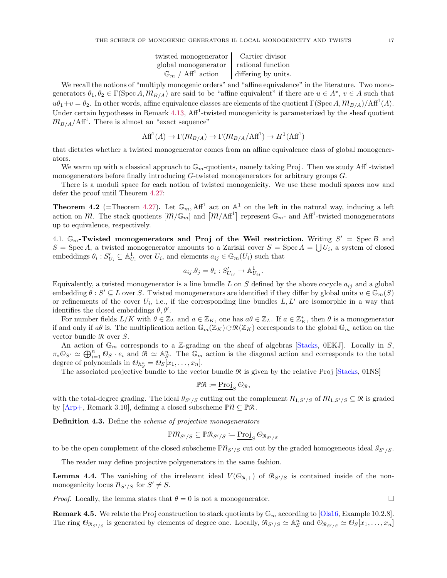| twisted monogenerator   Cartier divisor  |                     |
|------------------------------------------|---------------------|
| global monogenerator                     | rational function   |
| $\mathbb{G}_m$ / Aff <sup>1</sup> action | differing by units. |

We recall the notions of "multiply monogenic orders" and "affine equivalence" in the literature. Two monogenerators  $\theta_1, \theta_2 \in \Gamma(\text{Spec } A, \mathcal{M}_{B/A})$  are said to be "affine equivalent" if there are  $u \in A^*$ ,  $v \in A$  such that  $u\theta_1+v=\theta_2$ . In other words, affine equivalence classes are elements of the quotient  $\Gamma(\text{Spec }A, m_{B/A})/\text{Aff}^1(A)$ . Under certain hypotheses in Remark [4.13,](#page-18-0) Aff<sup>1</sup>-twisted monogenicity is parameterized by the sheaf quotient  $m_{B/A}/\text{Aff}^1$ . There is almost an "exact sequence"

$$
\text{Aff}^1(A) \to \Gamma(\mathcal{M}_{B/A}) \to \Gamma(\mathcal{M}_{B/A}/\text{Aff}^1) \to H^1(\text{Aff}^1)
$$

that dictates whether a twisted monogenerator comes from an affine equivalence class of global monogenerators.

We warm up with a classical approach to  $\mathbb{G}_m$ -quotients, namely taking Proj. Then we study Aff<sup>1</sup>-twisted monogenerators before finally introducing G-twisted monogenerators for arbitrary groups G.

There is a moduli space for each notion of twisted monogenicity. We use these moduli spaces now and defer the proof until Theorem [4.27:](#page-23-0)

<span id="page-16-1"></span>**Theorem 4.2** (=Theorem [4.27\)](#page-23-0). Let  $\mathbb{G}_m$ , Af<sup>1</sup> act on  $\mathbb{A}^1$  on the left in the natural way, inducing a left action on  $m$ . The stack quotients  $[m/\mathbb{G}_m]$  and  $[m/Aff^1]$  represent  $\mathbb{G}_m$ - and  $AH^1$ -twisted monogenerators up to equivalence, respectively.

<span id="page-16-0"></span>4.1.  $\mathbb{G}_m$ -Twisted monogenerators and Proj of the Weil restriction. Writing  $S' = \text{Spec } B$  and  $S = \operatorname{Spec} A$ , a twisted monogenerator amounts to a Zariski cover  $S = \operatorname{Spec} A = \bigcup U_i$ , a system of closed embeddings  $\theta_i : S'_{U_i} \subseteq \mathbb{A}^1_{U_i}$  over  $U_i$ , and elements  $a_{ij} \in \mathbb{G}_m(U_i)$  such that

$$
a_{ij}.\theta_j = \theta_i : S'_{U_{ij}} \to \mathbb{A}^1_{U_{ij}}.
$$

Equivalently, a twisted monogenerator is a line bundle L on S defined by the above cocycle  $a_{ij}$  and a global embedding  $\theta : S' \subseteq L$  over S. Twisted monogenerators are identified if they differ by global units  $u \in \mathbb{G}_m(S)$ or refinements of the cover  $U_i$ , i.e., if the corresponding line bundles  $L, L'$  are isomorphic in a way that identifies the closed embeddings  $\theta$ ,  $\theta'$ .

For number fields  $L/K$  with  $\theta \in \mathbb{Z}_L$  and  $a \in \mathbb{Z}_K$ , one has  $a\theta \in \mathbb{Z}_L$ . If  $a \in \mathbb{Z}_K^*$ , then  $\theta$  is a monogenerator if and only if  $a\theta$  is. The multiplication action  $\mathbb{G}_m(\mathbb{Z}_K) \otimes \mathcal{R}(\mathbb{Z}_K)$  corresponds to the global  $\mathbb{G}_m$  action on the vector bundle  $\Re$  over  $S$ .

An action of  $\mathbb{G}_m$  corresponds to a Z-grading on the sheaf of algebras [\[Stacks](#page-28-1), 0EKJ]. Locally in S,  $\pi_*\mathcal{O}_{S'} \simeq \bigoplus_{i=1}^n \mathcal{O}_S \cdot e_i$  and  $\mathcal{R} \simeq \mathbb{A}_S^n$ . The  $\mathbb{G}_m$  action is the diagonal action and corresponds to the total degree of polynomials in  $\mathcal{O}_{\mathbb{A}_{S}^{n}} = \mathcal{O}_{S}[x_{1},...,x_{n}].$ 

The associated projective bundle to the vector bundle  $\Re$  is given by the relative Proj [\[Stacks](#page-28-1), 01NS]

$$
\mathbb{P}\mathcal{R} \coloneqq \underline{\operatorname{Proj}}_S \mathcal{O}_{\mathcal{R}},
$$

with the total-degree grading. The ideal  $\mathcal{I}_{S'/S}$  cutting out the complement  $\mathcal{N}_{1,S'/S}$  of  $\mathcal{M}_{1,S'/S} \subseteq \mathcal{R}$  is graded by  $[Arp+,$  Remark 3.10, defining a closed subscheme  $\mathbb{P}\mathcal{U} \subseteq \mathbb{P}\mathcal{R}$ .

**Definition 4.3.** Define the *scheme of projective monogenerators* 

$$
\mathbb{P}m_{S'/S}\subseteq \mathbb{P}{\mathcal{R}}_{S'/S}\coloneqq \underline{\mathrm{Proj}}_S\,\mathcal{O}_{{\mathcal{R}}_{S'/S}}
$$

to be the open complement of the closed subscheme  $\mathbb{P} \mathcal{R}_{S'/S}$  cut out by the graded homogeneous ideal  $\mathcal{I}_{S'/S}$ .

The reader may define projective polygenerators in the same fashion.

**Lemma 4.4.** The vanishing of the irrelevant ideal  $V(\mathcal{O}_{R,+})$  of  $\mathcal{R}_{S'/S}$  is contained inside of the nonmonogenicity locus  $n_{S'/S}$  for  $S' \neq S$ .

*Proof.* Locally, the lemma states that  $\theta = 0$  is not a monogenerator.

**Remark 4.5.** We relate the Proj construction to stack quotients by  $\mathbb{G}_m$  according to [\[Ols16,](#page-28-13) Example 10.2.8]. The ring  $\mathcal{O}_{\mathcal{R}_{S'/S}}$  is generated by elements of degree one. Locally,  $\mathcal{R}_{S'/S} \simeq \mathbb{A}_{S}^{n}$  and  $\mathcal{O}_{\mathcal{R}_{S'/S}} \simeq \mathcal{O}_{S}[x_1, \ldots, x_n]$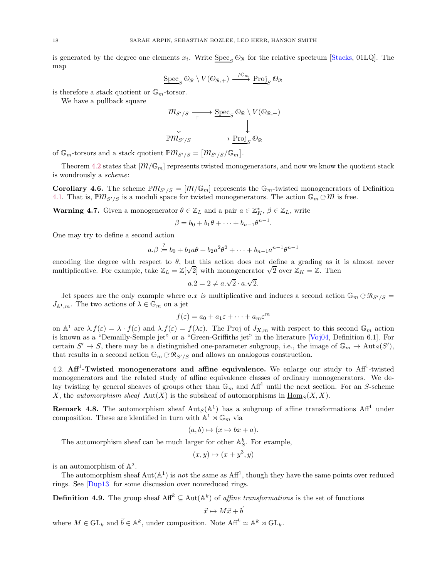is generated by the degree one elements  $x_i$ . Write  $\underline{\text{Spec}}_S \mathcal{O}_{\mathcal{R}}$  for the relative spectrum [\[Stacks](#page-28-1), 01LQ]. The map

$$
\underline{\operatorname{Spec}}_{S} \mathcal{O}_{R} \setminus V(\mathcal{O}_{R,+}) \xrightarrow{-/\mathbb{G}_{m}} \underline{\operatorname{Proj}}_{S} \mathcal{O}_{R}
$$

is therefore a stack quotient or  $\mathbb{G}_m$ -torsor.

We have a pullback square

$$
m_{S'/S} \xrightarrow[\tau \to \text{Spec}_S \mathcal{O}_{\mathcal{R}} \setminus V(\mathcal{O}_{\mathcal{R},+})
$$
  
\n
$$
\downarrow \qquad \qquad \downarrow
$$
  
\n
$$
\mathbb{P}m_{S'/S} \xrightarrow{\text{Proj}_S \mathcal{O}_{\mathcal{R}}}
$$

of  $\mathbb{G}_m$ -torsors and a stack quotient  $\mathbb{P}m_{S'/S} = [m_{S'/S}/\mathbb{G}_m]$ .

Theorem [4.2](#page-16-1) states that  $[m/\mathbb{G}_m]$  represents twisted monogenerators, and now we know the quotient stack is wondrously a scheme:

**Corollary 4.6.** The scheme  $\mathbb{P}m_{S'/S} = [M/\mathbb{G}_m]$  represents the  $\mathbb{G}_m$ -twisted monogenerators of Definition [4.1.](#page-15-1) That is,  $\mathbb{P}m_{S'/S}$  is a moduli space for twisted monogenerators. The action  $\mathbb{G}_m \odot m$  is free.

**Warning 4.7.** Given a monogenerator  $\theta \in \mathbb{Z}_L$  and a pair  $a \in \mathbb{Z}_K^*$ ,  $\beta \in \mathbb{Z}_L$ , write

$$
\beta = b_0 + b_1 \theta + \dots + b_{n-1} \theta^{n-1}.
$$

One may try to define a second action

$$
a.\beta := b_0 + b_1 a\theta + b_2 a^2 \theta^2 + \dots + b_{n-1} a^{n-1} \theta^{n-1}
$$

encoding the degree with respect to  $\theta$ , but this action does not define a grading as it is almost never multiplicative. For example, take  $\mathbb{Z}_L = \mathbb{Z}[\sqrt{2}]$  with monogenerator  $\sqrt{2}$  over  $\mathbb{Z}_K = \mathbb{Z}$ . Then

$$
a.2 = 2 \neq a.\sqrt{2} \cdot a.\sqrt{2}.
$$

Jet spaces are the only example where a.x is multiplicative and induces a second action  $\mathbb{G}_m \n\circ \mathbb{R}_{S'/S} =$  $J_{\mathbb{A}^1,m}$ . The two actions of  $\lambda \in \mathbb{G}_m$  on a jet

$$
f(\varepsilon) = a_0 + a_1 \varepsilon + \dots + a_m \varepsilon^m
$$

on  $\Lambda^1$  are  $\lambda f(\varepsilon) = \lambda \cdot f(\varepsilon)$  and  $\lambda f(\varepsilon) = f(\lambda \varepsilon)$ . The Proj of  $J_{X,m}$  with respect to this second  $\mathbb{G}_m$  action is known as a "Demailly-Semple jet" or a "Green-Griffiths jet" in the literature [\[Voj04](#page-28-14), Definition 6.1]. For certain  $S' \to S$ , there may be a distinguished one-parameter subgroup, i.e., the image of  $\mathbb{G}_m \to \text{Aut}_S(S')$ , that results in a second action  $\mathbb{G}_m \oplus \mathbb{R}_{S'/S}$  and allows an analogous construction.

<span id="page-17-0"></span>4.2.  $Aff<sup>1</sup>$ -Twisted monogenerators and affine equivalence. We enlarge our study to  $Aff<sup>1</sup>$ -twisted monogenerators and the related study of affine equivalence classes of ordinary monogenerators. We delay twisting by general sheaves of groups other than  $\mathbb{G}_m$  and  $\text{Aff}^1$  until the next section. For an S-scheme X, the *automorphism sheaf* Aut(X) is the subsheaf of automorphisms in  $\underline{\text{Hom}}_S(X, X)$ .

**Remark 4.8.** The automorphism sheaf  $Aut_S(\mathbb{A}^1)$  has a subgroup of affine transformations  $Aff^1$  under composition. These are identified in turn with  $\mathbb{A}^1 \rtimes \mathbb{G}_m$  via

$$
(a,b)\mapsto (x\mapsto bx+a).
$$

The automorphism sheaf can be much larger for other  $\mathbb{A}_{S}^{k}$ . For example,

$$
(x,y)\mapsto (x+y^3,y)
$$

is an automorphism of  $\mathbb{A}^2$ .

The automorphism sheaf  $Aut(A^1)$  is not the same as  $Aff^1$ , though they have the same points over reduced rings. See [\[Dup13\]](#page-27-6) for some discussion over nonreduced rings.

**Definition 4.9.** The group sheaf  $\text{Aff}^k \subseteq \text{Aut}(\mathbb{A}^k)$  of *affine transformations* is the set of functions

$$
\vec{x} \mapsto M\vec{x} + \vec{b}
$$

where  $M \in GL_k$  and  $\vec{b} \in \mathbb{A}^k$ , under composition. Note  $\mathrm{Aff}^k \simeq \mathbb{A}^k \rtimes GL_k$ .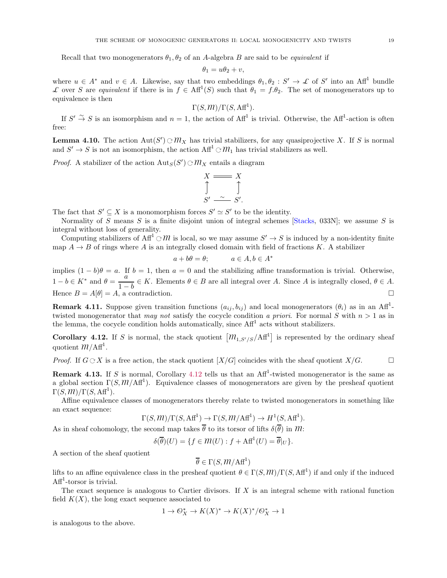Recall that two monogenerators  $\theta_1, \theta_2$  of an A-algebra B are said to be *equivalent* if

$$
\theta_1 = u\theta_2 + v,
$$

where  $u \in A^*$  and  $v \in A$ . Likewise, say that two embeddings  $\theta_1, \theta_2 : S' \to \mathcal{L}$  of S' into an Aff<sup>1</sup> bundle L over S are equivalent if there is in  $f \in Aff^1(S)$  such that  $\theta_1 = f.\theta_2$ . The set of monogenerators up to equivalence is then

$$
\Gamma(S, M)/\Gamma(S, \text{Aff}^1).
$$

If  $S' \to S$  is an isomorphism and  $n = 1$ , the action of  $\text{Aff}^1$  is trivial. Otherwise, the  $\text{Aff}^1$ -action is often free:

**Lemma 4.10.** The action  $\text{Aut}(S') \oplus M_X$  has trivial stabilizers, for any quasiprojective X. If S is normal and  $S' \to S$  is not an isomorphism, the action  $\text{Aff}^1 \odot m_1$  has trivial stabilizers as well.

*Proof.* A stabilizer of the action  $\text{Aut}_S(S') \oplus \mathcal{M}_X$  entails a diagram

$$
X \longrightarrow X
$$
  
\n
$$
\uparrow \qquad \qquad \uparrow
$$
  
\n
$$
S' \sim S'.
$$

The fact that  $S' \subseteq X$  is a monomorphism forces  $S' \simeq S'$  to be the identity.

Normality of S means S is a finite disjoint union of integral schemes  $[S$ tacks, 033N]; we assume S is integral without loss of generality.

Computing stabilizers of  $\text{Aff}^1 \subset \mathcal{M}$  is local, so we may assume  $S' \to S$  is induced by a non-identity finite map  $A \rightarrow B$  of rings where A is an integrally closed domain with field of fractions K. A stabilizer

$$
a + b\theta = \theta; \qquad a \in A, b \in A^*
$$

implies  $(1 - b)\theta = a$ . If  $b = 1$ , then  $a = 0$  and the stabilizing affine transformation is trivial. Otherwise,  $1 - b \in K^*$  and  $\theta = \frac{a}{1 - a}$  $\frac{a}{1-b} \in K$ . Elements  $\theta \in B$  are all integral over A. Since A is integrally closed,  $\theta \in A$ . Hence  $B = A[\theta] = A$ , a contradiction.

**Remark 4.11.** Suppose given transition functions  $(a_{ij}, b_{ij})$  and local monogenerators  $(\theta_i)$  as in an Aff<sup>1</sup>twisted monogenerator that may not satisfy the cocycle condition a priori. For normal S with  $n > 1$  as in the lemma, the cocycle condition holds automatically, since  $\text{Aff}^1$  acts without stabilizers.

<span id="page-18-1"></span>**Corollary 4.12.** If S is normal, the stack quotient  $[m_{1,S'/S}/Aff^1]$  is represented by the ordinary sheaf quotient  $m/Aff<sup>1</sup>$ .

*Proof.* If  $G \subset X$  is a free action, the stack quotient  $[X/G]$  coincides with the sheaf quotient  $X/G$ .

<span id="page-18-0"></span>**Remark 4.13.** If S is normal, Corollary [4.12](#page-18-1) tells us that an  $Aff<sup>1</sup>$ -twisted monogenerator is the same as a global section  $\Gamma(S, M/Aff^1)$ . Equivalence classes of monogenerators are given by the presheaf quotient  $\Gamma(S, M)/\Gamma(S, \text{Aff}^1).$ 

Affine equivalence classes of monogenerators thereby relate to twisted monogenerators in something like an exact sequence:

$$
\Gamma(S, M)/\Gamma(S, \text{Aff}^1) \to \Gamma(S, M/\text{Aff}^1) \to H^1(S, \text{Aff}^1).
$$

As in sheaf cohomology, the second map takes  $\overline{\theta}$  to its torsor of lifts  $\delta(\overline{\theta})$  in  $m$ :

 $\delta(\overline{\theta})(U) = \{f \in \mathcal{M}(U) : f + \text{Aff}^1(U) = \overline{\theta}|_U\}.$ 

A section of the sheaf quotient

$$
\overline{\theta} \in \Gamma(S, M/\text{Aff}^1)
$$

lifts to an affine equivalence class in the presheaf quotient  $\theta \in \Gamma(S, M)/\Gamma(S, \text{Aff}^1)$  if and only if the induced  $Aff<sup>1</sup>$ -torsor is trivial.

The exact sequence is analogous to Cartier divisors. If  $X$  is an integral scheme with rational function field  $K(X)$ , the long exact sequence associated to

$$
1\to \mathcal{O}_X^*\to K(X)^*\to K(X)^*/\mathcal{O}_X^*\to 1
$$

is analogous to the above.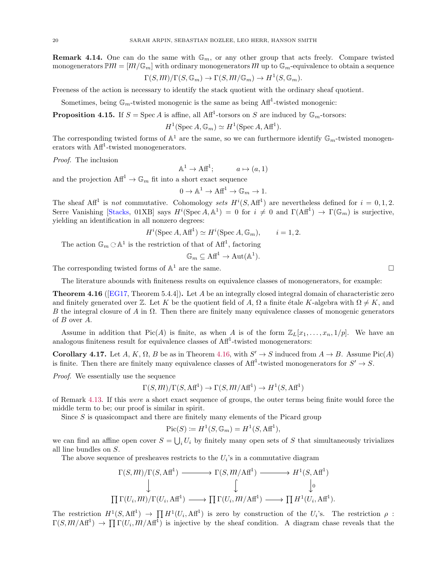**Remark 4.14.** One can do the same with  $\mathbb{G}_m$ , or any other group that acts freely. Compare twisted monogenerators  $\mathbb{P}m = [m/\mathbb{G}_m]$  with ordinary monogenerators M up to  $\mathbb{G}_m$ -equivalence to obtain a sequence

$$
\Gamma(S, M)/\Gamma(S, \mathbb{G}_m) \to \Gamma(S, M/\mathbb{G}_m) \to H^1(S, \mathbb{G}_m).
$$

Freeness of the action is necessary to identify the stack quotient with the ordinary sheaf quotient.

Sometimes, being  $\mathbb{G}_m$ -twisted monogenic is the same as being Aff<sup>1</sup>-twisted monogenic:

<span id="page-19-0"></span>**Proposition 4.15.** If  $S = \text{Spec } A$  is affine, all  $\text{Aff}^1$ -torsors on S are induced by  $\mathbb{G}_m$ -torsors:

 $H^1(\text{Spec }A,\mathbb{G}_m)\simeq H^1(\text{Spec }A,\text{Aff}^1).$ 

The corresponding twisted forms of  $\mathbb{A}^1$  are the same, so we can furthermore identify  $\mathbb{G}_m$ -twisted monogenerators with  $\text{Aff}^1$ -twisted monogenerators.

Proof. The inclusion

 $\mathbb{A}^1 \to \mathbb{A} \mathbb{f}^1; \qquad a \mapsto (a, 1)$ 

and the projection  $\text{Aff}^1 \to \mathbb{G}_m$  fit into a short exact sequence

$$
0 \to \mathbb{A}^1 \to \mathbf{Aff}^1 \to \mathbb{G}_m \to 1.
$$

The sheaf Aff<sup>1</sup> is not commutative. Cohomology sets  $H^i(S, \text{Aff}^1)$  are nevertheless defined for  $i = 0, 1, 2$ . Serre Vanishing [\[Stacks,](#page-28-1) 01XB] says  $H^i(\text{Spec }A, \mathbb{A}^1) = 0$  for  $i \neq 0$  and  $\Gamma(\text{Aff}^1) \to \Gamma(\mathbb{G}_m)$  is surjective, yielding an identification in all nonzero degrees:

$$
H^{i}(\text{Spec } A, \text{Aff}^{1}) \simeq H^{i}(\text{Spec } A, \mathbb{G}_{m}), \qquad i = 1, 2.
$$

The action  $\mathbb{G}_m \subset \mathbb{A}^1$  is the restriction of that of  $\text{Aff}^1$ , factoring

$$
\mathbb{G}_m \subseteq \mathrm{Aff}^1 \to \mathrm{Aut}(\mathbb{A}^1).
$$

The corresponding twisted forms of  $\mathbb{A}^1$  are the same.

The literature abounds with finiteness results on equivalence classes of monogenerators, for example:

<span id="page-19-2"></span>**Theorem 4.16** ([\[EG17](#page-27-7), Theorem 5.4.4]). Let A be an integrally closed integral domain of characteristic zero and finitely generated over Z. Let K be the quotient field of A,  $\Omega$  a finite étale K-algebra with  $\Omega \neq K$ , and B the integral closure of A in  $\Omega$ . Then there are finitely many equivalence classes of monogenic generators of B over A.

Assume in addition that Pic(A) is finite, as when A is of the form  $\mathbb{Z}_L[x_1, \ldots, x_n, 1/p]$ . We have an analogous finiteness result for equivalence classes of  $\text{Aff}^1$ -twisted monogenerators:

<span id="page-19-1"></span>**Corollary 4.17.** Let A, K,  $\Omega$ , B be as in Theorem [4.16,](#page-19-2) with  $S' \to S$  induced from  $A \to B$ . Assume Pic(A) is finite. Then there are finitely many equivalence classes of  $\text{Aff}^1$ -twisted monogenerators for  $S' \to S$ .

Proof. We essentially use the sequence

$$
\Gamma(S, M)/\Gamma(S, \text{Aff}^1) \to \Gamma(S, M/\text{Aff}^1) \to H^1(S, \text{Aff}^1)
$$

of Remark [4.13.](#page-18-0) If this were a short exact sequence of groups, the outer terms being finite would force the middle term to be; our proof is similar in spirit.

Since  $S$  is quasicompact and there are finitely many elements of the Picard group

$$
\operatorname{Pic}(S) \coloneqq H^1(S, \mathbb{G}_m) = H^1(S, \operatorname{Aff}^1),
$$

we can find an affine open cover  $S = \bigcup_i U_i$  by finitely many open sets of S that simultaneously trivializes all line bundles on S.

The above sequence of presheaves restricts to the  $U_i$ 's in a commutative diagram

$$
\Gamma(S, m)/\Gamma(S, \text{Aff}^1) \longrightarrow \Gamma(S, m/\text{Aff}^1) \longrightarrow H^1(S, \text{Aff}^1)
$$
  
\n
$$
\downarrow \qquad \qquad \downarrow \qquad \qquad \downarrow
$$
  
\n
$$
\prod \Gamma(U_i, m)/\Gamma(U_i, \text{Aff}^1) \longrightarrow \prod \Gamma(U_i, m/\text{Aff}^1) \longrightarrow \prod H^1(U_i, \text{Aff}^1).
$$

The restriction  $H^1(S, \text{Aff}^1) \to \prod H^1(U_i, \text{Aff}^1)$  is zero by construction of the  $U_i$ 's. The restriction  $\rho$ :  $\Gamma(S, M/Aff^1) \to \prod \Gamma(U_i, M/Aff^1)$  is injective by the sheaf condition. A diagram chase reveals that the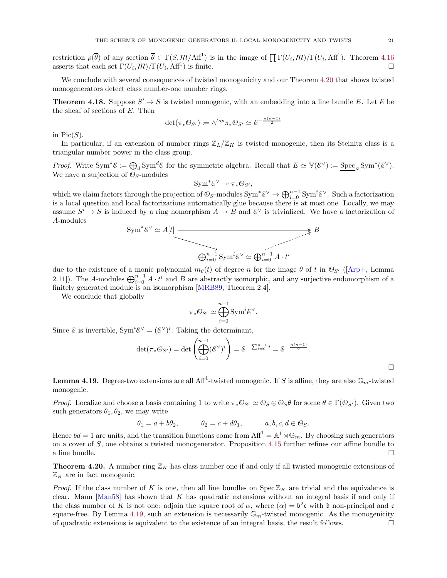restriction  $\rho(\overline{\theta})$  of any section  $\overline{\theta} \in \Gamma(S, M/Af^1)$  is in the image of  $\prod \Gamma(U_i, M)/\Gamma(U_i, Af^1)$ . Theorem [4.16](#page-19-2) asserts that each set  $\Gamma(U_i, m)/\Gamma(U_i, \text{Aff}^1)$  is finite.

We conclude with several consequences of twisted monogenicity and our Theorem [4.20](#page-20-0) that shows twisted monogenerators detect class number-one number rings.

<span id="page-20-2"></span>**Theorem 4.18.** Suppose  $S' \rightarrow S$  is twisted monogenic, with an embedding into a line bundle E. Let  $\&$  be the sheaf of sections of E. Then

$$
\det(\pi_*\mathcal{O}_{S'}) \coloneqq \wedge^{top} \pi_*\mathcal{O}_{S'} \simeq \mathcal{E}^{-\frac{n(n-1)}{2}}
$$

in  $Pic(S)$ .

In particular, if an extension of number rings  $\mathbb{Z}_L/\mathbb{Z}_K$  is twisted monogenic, then its Steinitz class is a triangular number power in the class group.

Proof. Write Sym<sup>\*</sup> $\mathcal{E} := \bigoplus_{d} \text{Sym}^{d} \mathcal{E}$  for the symmetric algebra. Recall that  $E \simeq \mathbb{V}(\mathcal{E}^{\vee}) := \underline{\text{Spec}}_{S} \text{Sym}^{*}(\mathcal{E}^{\vee}).$ We have a surjection of  $\mathcal{O}_S$ -modules

$$
Sym^*\mathcal{E}^{\vee} \twoheadrightarrow \pi_*\mathcal{O}_{S'},
$$

which we claim factors through the projection of  $\mathcal{O}_S$ -modules  $\text{Sym}^*\mathcal{E}^\vee \to \bigoplus_{i=0}^{n-1} \text{Sym}^i\mathcal{E}^\vee$ . Such a factorization is a local question and local factorizations automatically glue because there is at most one. Locally, we may assume  $S' \to S$  is induced by a ring homorphism  $A \to B$  and  $\mathcal{E}^{\vee}$  is trivialized. We have a factorization of A-modules

$$
Sym^*\mathcal{E}^{\vee} \simeq A[t] \xrightarrow{\longrightarrow} B
$$
  

$$
\bigoplus_{i=0}^{n-1} \text{Sym}^i \mathcal{E}^{\vee} \simeq \bigoplus_{i=0}^{n-1} A \cdot t^i
$$

due to the existence of a monic polynomial  $m_{\theta}(t)$  of degree n for the image  $\theta$  of t in  $\mathcal{O}_{S'}$  ([\[Arp+](#page-27-1), Lemma 2.11]). The A-modules  $\bigoplus_{i=0}^{n-1} A \cdot t^i$  and B are abstractly isomorphic, and any surjective endomorphism of a finitely generated module is an isomorphism [\[MRB89,](#page-28-15) Theorem 2.4].

We conclude that globally

$$
\pi_*\mathbb{O}_{S'}\simeq \bigoplus_{i=0}^{n-1} \text{Sym}^i \mathcal{E}^\vee.
$$

Since  $\&$  is invertible,  $Sym^i \& \vee = (\& \vee)^i$ . Taking the determinant,

$$
\det(\pi_* \mathcal{O}_{S'}) = \det \left( \bigoplus_{i=0}^{n-1} (\mathcal{E}^{\vee})^i \right) = \mathcal{E}^{-\sum_{i=0}^{n-1} i} = \mathcal{E}^{-\frac{n(n-1)}{2}}.
$$

<span id="page-20-1"></span>**Lemma 4.19.** Degree-two extensions are all Aff<sup>1</sup>-twisted monogenic. If S is affine, they are also  $\mathbb{G}_m$ -twisted monogenic.

*Proof.* Localize and choose a basis containing 1 to write  $\pi_* \mathcal{O}_{S'} \simeq \mathcal{O}_S \oplus \mathcal{O}_S \theta$  for some  $\theta \in \Gamma(\mathcal{O}_{S'})$ . Given two such generators  $\theta_1, \theta_2$ , we may write

$$
\theta_1=a+b\theta_2, \qquad \quad \theta_2=c+d\theta_1, \qquad \quad a,b,c,d\in \mathbb{O}_S.
$$

Hence  $bd = 1$  are units, and the transition functions come from  $\text{Aff}^1 = \mathbb{A}^1 \rtimes \mathbb{G}_m$ . By choosing such generators on a cover of S, one obtains a twisted monogenerator. Proposition [4.15](#page-19-0) further refines our affine bundle to a line bundle.  $\Box$ 

<span id="page-20-0"></span>**Theorem 4.20.** A number ring  $\mathbb{Z}_K$  has class number one if and only if all twisted monogenic extensions of  $\mathbb{Z}_K$  are in fact monogenic.

*Proof.* If the class number of K is one, then all line bundles on  $\operatorname{Spec} \mathbb{Z}_K$  are trivial and the equivalence is clear. Mann  $[Man58]$  has shown that K has quadratic extensions without an integral basis if and only if the class number of K is not one: adjoin the square root of  $\alpha$ , where  $(\alpha) = b^2c$  with b non-principal and c square-free. By Lemma [4.19,](#page-20-1) such an extension is necessarily  $\mathbb{G}_m$ -twisted monogenic. As the monogenicity of quadratic extensions is equivalent to the existence of an integral basis, the result follows.  $\Box$ 

 $\Box$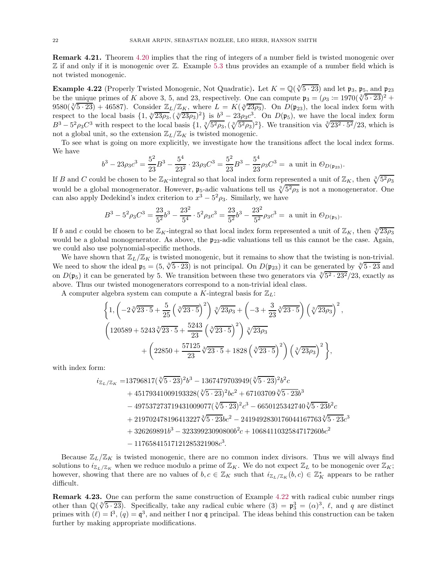Remark 4.21. Theorem [4.20](#page-20-0) implies that the ring of integers of a number field is twisted monogenic over  $\mathbb Z$  if and only if it is monogenic over  $\mathbb Z$ . Example [5.3](#page-25-1) thus provides an example of a number field which is not twisted monogenic.

<span id="page-21-0"></span>**Example 4.22** (Properly Twisted Monogenic, Not Quadratic). Let  $K = \mathbb{Q}(\sqrt[3]{5 \cdot 23})$  and let  $\mathfrak{p}_3$ ,  $\mathfrak{p}_5$ , and  $\mathfrak{p}_{23}$ be the unique primes of K above 3, 5, and 23, respectively. One can compute  $\mathfrak{p}_3 = (\rho_3 := 1970(\sqrt[3]{5 \cdot 23})^2 +$ 9580( $\sqrt[3]{5 \cdot 23}$ ) + 46587). Consider  $\mathbb{Z}_L/\mathbb{Z}_K$ , where  $L = K(\sqrt[3]{23\rho_3})$ . On  $D(p_{23})$ , the local index form with respect to the local basis  $\{1, \sqrt[3]{23\rho_3}, (\sqrt[3]{23\rho_3})^2\}$  is  $b^3 - 23\rho_3c^3$ . On  $D(\mathfrak{p}_5)$ , we have the local index form  $B^3 - 5^2 \rho_3 C^3$  with respect to the local basis  $\{1, \sqrt[3]{5^2 \rho_3}, (\sqrt[3]{5^2 \rho_3})^2\}$ . We transition via  $\sqrt[3]{23^2 \cdot 5^2}/23$ , which is not a global unit, so the extension  $\mathbb{Z}_L/\mathbb{Z}_K$  is twisted monogenic.

To see what is going on more explicitly, we investigate how the transitions affect the local index forms. We have

$$
b^3 - 23\rho_3 c^3 = \frac{5^2}{23}B^3 - \frac{5^4}{23^2} \cdot 23\rho_3 C^3 = \frac{5^2}{23}B^3 - \frac{5^4}{23}\rho_3 C^3 = \text{ a unit in } \mathcal{O}_{D(\mathfrak{p}_{23})}.
$$

If B and C could be chosen to be  $\mathbb{Z}_K$ -integral so that local index form represented a unit of  $\mathbb{Z}_K$ , then  $\sqrt[3]{5^2 \rho_3}$ would be a global monogenerator. However,  $\mathfrak{p}_5$ -adic valuations tell us  $\sqrt[3]{5^2 \rho_3}$  is not a monogenerator. One can also apply Dedekind's index criterion to  $x^3 - 5^2 \rho_3$ . Similarly, we have

$$
B^3 - 5^2 \rho_3 C^3 = \frac{23}{5^2} b^3 - \frac{23^2}{5^4} \cdot 5^2 \rho_3 c^3 = \frac{23}{5^2} b^3 - \frac{23^2}{5^2} \rho_3 c^3 = \text{ a unit in } \mathcal{O}_{D(\mathfrak{p}_5)}.
$$

If b and c could be chosen to be  $\mathbb{Z}_K$ -integral so that local index form represented a unit of  $\mathbb{Z}_K$ , then  $\sqrt[3]{23\rho_3}$ would be a global monogenerator. As above, the  $p_{23}$ -adic valuations tell us this cannot be the case. Again, we could also use polynomial-specific methods.

We have shown that  $\mathbb{Z}_L/\mathbb{Z}_K$  is twisted monogenic, but it remains to show that the twisting is non-trivial. We need to show the ideal  $\mathfrak{p}_5 = (5, \sqrt[3]{5 \cdot 23})$  is not principal. On  $D(\mathfrak{p}_{23})$  it can be generated by  $\sqrt[3]{5 \cdot 23}$  and on  $D(\mathfrak{p}_5)$  it can be generated by 5. We transition between these two generators via  $\sqrt[3]{5^2 \cdot 23^2}/23$ , exactly as above. Thus our twisted monogenerators correspond to a non-trivial ideal class.

A computer algebra system can compute a K-integral basis for  $\mathbb{Z}_L$ :

$$
\left\{1, \left(-2\sqrt[3]{23\cdot 5} + \frac{5}{25}\left(\sqrt[3]{23\cdot 5}\right)^2\right)\sqrt[3]{23\rho_3} + \left(-3 + \frac{3}{23}\sqrt[3]{23\cdot 5}\right)\left(\sqrt[3]{23\rho_3}\right)^2, \left(120589 + 5243\sqrt[3]{23\cdot 5} + \frac{5243}{23}\left(\sqrt[3]{23\cdot 5}\right)^2\right)\sqrt[3]{23\rho_3} + \left(22850 + \frac{57125}{23}\sqrt[3]{23\cdot 5} + 1828\left(\sqrt[3]{23\cdot 5}\right)^2\right)\left(\sqrt[3]{23\rho_3}\right)^2\right\},
$$

with index form:

$$
\begin{aligned} i_{\mathbb{Z}_L/\mathbb{Z}_K} = & 13796817(\sqrt[3]{5\cdot 23})^2b^3 - 1367479703949(\sqrt[3]{5\cdot 23})^2b^2c \\ & + 45179341009193328(\sqrt[3]{5\cdot 23})^2bc^2 + 67103709\sqrt[3]{5\cdot 23}b^3 \\ & - 497537273719431009077(\sqrt[3]{5\cdot 23})^2c^3 - 6650125342740\sqrt[3]{5\cdot 23}b^2c \\ & + 219702478196413227\sqrt[3]{5\cdot 23}bc^2 - 2419492830176044167763\sqrt[3]{5\cdot 23}c^3 \\ & + 326269891b^3 - 32339923090800b^2c + 1068411032584717260bc^2 \\ & - 11765841517121285321908c^3. \end{aligned}
$$

Because  $\mathbb{Z}_L/\mathbb{Z}_K$  is twisted monogenic, there are no common index divisors. Thus we will always find solutions to  $i_{\mathbb{Z}_L/\mathbb{Z}_K}$  when we reduce modulo a prime of  $\mathbb{Z}_K$ . We do not expect  $\mathbb{Z}_L$  to be monogenic over  $\mathbb{Z}_K$ ; however, showing that there are no values of  $b, c \in \mathbb{Z}_K$  such that  $i_{\mathbb{Z}_L/\mathbb{Z}_K}(b, c) \in \mathbb{Z}_K^*$  appears to be rather difficult.

Remark 4.23. One can perform the same construction of Example [4.22](#page-21-0) with radical cubic number rings other than  $\mathbb{Q}(\sqrt[3]{5\cdot 23})$ . Specifically, take any radical cubic where  $(3) = \mathfrak{p}_3^3 = (\alpha)^3$ ,  $\ell$ , and q are distinct primes with  $(\ell) = \mathfrak{l}^3$ ,  $(q) = \mathfrak{q}^3$ , and neither l nor q principal. The ideas behind this construction can be taken further by making appropriate modifications.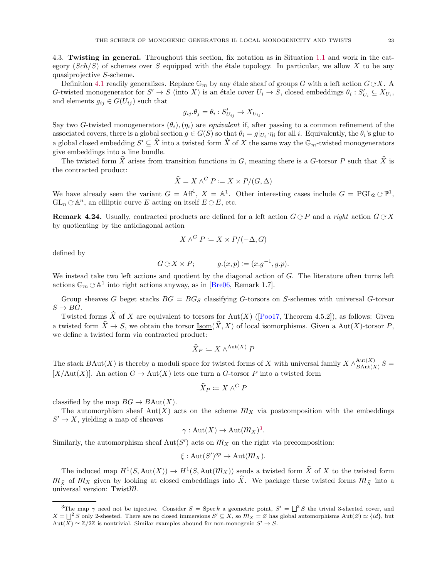<span id="page-22-0"></span>4.3. Twisting in general. Throughout this section, fix notation as in Situation [1.1](#page-1-1) and work in the category  $(Sch/S)$  of schemes over S equipped with the étale topology. In particular, we allow X to be any quasiprojective S-scheme.

Definition [4.1](#page-15-1) readily generalizes. Replace  $\mathbb{G}_m$  by any étale sheaf of groups  $G$  with a left action  $G\mathop{\odot} X$ . A G-twisted monogenerator for  $S' \to S$  (into X) is an étale cover  $U_i \to S$ , closed embeddings  $\theta_i : S'_{U_i} \subseteq X_{U_i}$ , and elements  $g_{ij} \in G(U_{ij})$  such that

$$
g_{ij}.\theta_j = \theta_i : S'_{U_{ij}} \to X_{U_{ij}}.
$$

Say two G-twisted monogenerators  $(\theta_i),(\eta_i)$  are *equivalent* if, after passing to a common refinement of the associated covers, there is a global section  $g \in G(S)$  so that  $\theta_i = g|_{U_i} \cdot \eta_i$  for all i. Equivalently, the  $\theta_i$ 's glue to a global closed embedding  $S' \subseteq \hat{X}$  into a twisted form  $\hat{X}$  of X the same way the  $\mathbb{G}_m$ -twisted monogenerators give embeddings into a line bundle.

The twisted form  $\hat{X}$  arises from transition functions in G, meaning there is a G-torsor P such that  $\hat{X}$  is the contracted product:

$$
\widehat{X} = X \wedge^G P := X \times P/(G, \Delta)
$$

We have already seen the variant  $G = Aff^1$ ,  $X = \mathbb{A}^1$ . Other interesting cases include  $G = PGL_2 \n\subset \mathbb{P}^1$ ,  $GL_n \n\subset \mathbb{A}^n$ , an ellliptic curve E acting on itself  $E \n\subset E$ , etc.

**Remark 4.24.** Usually, contracted products are defined for a left action  $G \nsubseteq P$  and a right action  $G \nsubseteq X$ by quotienting by the antidiagonal action

$$
X \wedge^G P \coloneqq X \times P / (-\Delta, G)
$$

defined by

$$
G\odot X\times P;\qquad \qquad g.(x,p):=(x.g^{-1},g.p).
$$

We instead take two left actions and quotient by the diagonal action of G. The literature often turns left actions  $\mathbb{G}_m \subset \mathbb{A}^1$  into right actions anyway, as in [\[Bre06,](#page-27-8) Remark 1.7].

Group sheaves G beget stacks  $BG = BG_S$  classifying G-torsors on S-schemes with universal G-torsor  $S \rightarrow BG$ .

Twistedforms  $\hat{X}$  of X are equivalent to torsors for Aut(X) ([\[Poo17,](#page-28-17) Theorem 4.5.2]), as follows: Given a twisted form  $\hat{X} \to S$ , we obtain the torsor Isom $(\hat{X}, X)$  of local isomorphisms. Given a Aut(X)-torsor P, we define a twisted form via contracted product:

$$
\widehat{X}_P \coloneqq X \wedge^{\mathrm{Aut}(X)} P
$$

The stack  $B\text{Aut}(X)$  is thereby a moduli space for twisted forms of X with universal family  $X \wedge_{B\text{Aut}(X)}^{\text{Aut}(X)}$  $B_{\text{Aut}(X)}^{Aut(X)}$   $S =$  $[X/\text{Aut}(X)]$ . An action  $G \to \text{Aut}(X)$  lets one turn a G-torsor P into a twisted form

$$
\widehat{X}_P \coloneqq X \wedge^G P
$$

classified by the map  $BG \to BAut(X)$ .

The automorphism sheaf Aut(X) acts on the scheme  $m<sub>X</sub>$  via postcomposition with the embeddings  $S' \to X$ , yielding a map of sheaves

$$
\gamma: \mathrm{Aut}(X) \to \mathrm{Aut}(\mathfrak{M}_X)^3.
$$

Similarly, the automorphism sheaf Aut(S') acts on  $m_X$  on the right via precomposition:

$$
\xi: \mathrm{Aut}(S')^{op} \to \mathrm{Aut}(\mathfrak{M}_X).
$$

The induced map  $H^1(S, \text{Aut}(X)) \to H^1(S, \text{Aut}(\mathcal{M}_X))$  sends a twisted form  $\widehat{X}$  of X to the twisted form  $m_{\hat{X}}$  of  $m_X$  given by looking at closed embeddings into  $\hat{X}$ . We package these twisted forms  $m_{\hat{X}}$  into a universal version: Twist $m$ .

<span id="page-22-1"></span><sup>&</sup>lt;sup>3</sup>The map  $\gamma$  need not be injective. Consider  $S = \text{Spec } k$  a geometric point,  $S' = \bigcup^3 S$  the trivial 3-sheeted cover, and  $X = \bigsqcup^2 S$  only 2-sheeted. There are no closed immersions  $S' \subseteq X$ , so  $M_X = \emptyset$  has global automorphisms  $\text{Aut}(\emptyset) \simeq \{id\}$ , but  $\text{Aut}(\overline{X}) \simeq \mathbb{Z}/2\mathbb{Z}$  is nontrivial. Similar examples abound for non-monogenic  $S' \to S$ .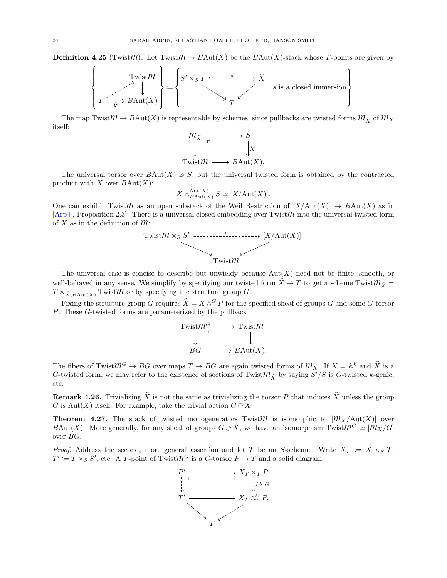**Definition 4.25** (TwistM). Let Twist $M \to B\text{Aut}(X)$  be the  $B\text{Aut}(X)$ -stack whose T-points are given by



The map Twist $M \to B\text{Aut}(X)$  is representable by schemes, since pullbacks are twisted forms  $M_{\hat{X}}$  of  $M_X$ itself:



The universal torsor over  $B\text{Aut}(X)$  is S, but the universal twisted form is obtained by the contracted product with  $X$  over  $B\text{Aut}(X)$ :

$$
X \wedge_{B\mathrm{Aut}(X)}^{\mathrm{Aut}(X)} S \simeq [X/\mathrm{Aut}(X)].
$$

One can exhibit TwistM as an open substack of the Weil Restriction of  $[X/\text{Aut}(X)] \to B\text{Aut}(X)$  as in  $[Arp+$ , Proposition 2.3]. There is a universal closed embedding over Twist $m$  into the universal twisted form of X as in the definition of  $m$ :



The universal case is concise to describe but unwieldy because  $Aut(X)$  need not be finite, smooth, or well-behaved in any sense. We simplify by specifying our twisted form  $\hat{X} \to T$  to get a scheme Twist $m_{\hat{X}} =$  $T \times_{\widehat{X},B\text{Aut}(X)} \text{Twist}\mathcal{M}$  or by specifying the structure group G.

Fixing the structure group G requires  $\hat{X} = X \wedge^G P$  for the specified sheaf of groups G and some G-torsor P. These G-twisted forms are parameterized by the pullback



The fibers of Twist $M^G \to BG$  over maps  $T \to BG$  are again twisted forms of  $M_X$ . If  $X = \mathbb{A}^k$  and  $\hat{X}$  is a G-twisted form, we may refer to the existence of sections of Twist $m_{\hat{X}}$  by saying  $S'/S$  is G-twisted k-genic, etc.

**Remark 4.26.** Trivializing  $\hat{X}$  is not the same as trivializing the torsor P that induces  $\hat{X}$  unless the group G is Aut $(X)$  itself. For example, take the trivial action  $G \n\subset X$ .

<span id="page-23-0"></span>**Theorem 4.27.** The stack of twisted monogenerators Twist $\mathcal{M}$  is isomorphic to  $[\mathcal{M}_X/\text{Aut}(X)]$  over BAut(X). More generally, for any sheaf of groups  $G \subset X$ , we have an isomorphism  $Twist\mathcal{M}^G \simeq [\mathcal{M}_X/G]$ over BG.

*Proof.* Address the second, more general assertion and let T be an S-scheme. Write  $X_T := X \times_S T$ ,  $T' := T \times_S S'$ , etc. A T-point of Twist $\mathcal{W}^G$  is a G-torsor  $P \to T$  and a solid diagram

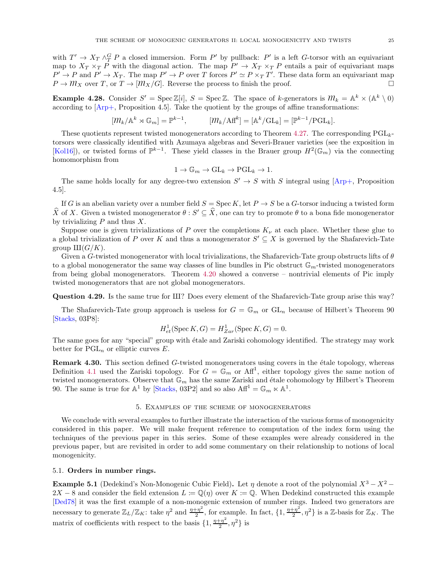with  $T' \to X_T \wedge_T^G P$  a closed immersion. Form P' by pullback: P' is a left G-torsor with an equivariant map to  $X_T \times_T P$  with the diagonal action. The map  $P' \to X_T \times_T P$  entails a pair of equivariant maps  $P' \to P$  and  $P' \to X_T$ . The map  $P' \to P$  over T forces  $P' \simeq P \times_T T'$ . These data form an equivariant map  $P \to M_X$  over T, or  $T \to [M_X/G]$ . Reverse the process to finish the proof.

**Example 4.28.** Consider  $S' = \text{Spec } \mathbb{Z}[i], S = \text{Spec } \mathbb{Z}$ . The space of k-generators is  $M_k = \mathbb{A}^k \times (\mathbb{A}^k \setminus 0)$ according to [\[Arp+](#page-27-1), Proposition 4.5]. Take the quotient by the groups of affine transformations:

$$
[\mathcal{M}_k/\mathbb{A}^k \rtimes \mathbb{G}_m] = \mathbb{P}^{k-1}, \qquad [\mathcal{M}_k/\mathbb{A} \mathbf{f}^k] = [\mathbb{A}^k/\mathbb{G} \mathbf{L}_k] = [\mathbb{P}^{k-1}/\mathrm{PGL}_k].
$$

These quotients represent twisted monogenerators according to Theorem [4.27.](#page-23-0) The corresponding  $PGL_{k-}$ torsors were classically identified with Azumaya algebras and Severi-Brauer varieties (see the exposition in [\[Kol16](#page-28-18)]), or twisted forms of  $\mathbb{P}^{k-1}$ . These yield classes in the Brauer group  $H^2(\mathbb{G}_m)$  via the connecting homomorphism from

$$
1 \to \mathbb{G}_m \to \mathrm{GL}_k \to \mathrm{PGL}_k \to 1.
$$

The same holds locally for any degree-two extension  $S' \to S$  with S integral using  $[Arp+,$  Proposition 4.5].

If G is an abelian variety over a number field  $S = \text{Spec } K$ , let  $P \to S$  be a G-torsor inducing a twisted form  $\widehat{X}$  of X. Given a twisted monogenerator  $\theta : S' \subseteq \widehat{X}$ , one can try to promote  $\theta$  to a bona fide monogenerator by trivializing  $P$  and thus  $X$ .

Suppose one is given trivializations of P over the completions  $K_{\nu}$  at each place. Whether these glue to a global trivialization of P over K and thus a monogenerator  $S' \subseteq X$  is governed by the Shafarevich-Tate group  $III(G/K)$ .

Given a G-twisted monogenerator with local trivializations, the Shafarevich-Tate group obstructs lifts of  $\theta$ to a global monogenerator the same way classes of line bundles in Pic obstruct  $\mathbb{G}_m$ -twisted monogenerators from being global monogenerators. Theorem [4.20](#page-20-0) showed a converse – nontrivial elements of Pic imply twisted monogenerators that are not global monogenerators.

Question 4.29. Is the same true for III? Does every element of the Shafarevich-Tate group arise this way?

The Shafarevich-Tate group approach is useless for  $G = \mathbb{G}_m$  or  $GL_n$  because of Hilbert's Theorem 90 [\[Stacks,](#page-28-1) 03P8]:

$$
H_{et}^1(\operatorname{Spec} K, G) = H_{Zar}^1(\operatorname{Spec} K, G) = 0.
$$

The same goes for any "special" group with étale and Zariski cohomology identified. The strategy may work better for  $PGL_n$  or elliptic curves E.

**Remark 4.30.** This section defined G-twisted monogenerators using covers in the étale topology, whereas Definition [4.1](#page-15-1) used the Zariski topology. For  $G = \mathbb{G}_m$  or  $\mathrm{Aff}^1$ , either topology gives the same notion of twisted monogenerators. Observe that  $\mathbb{G}_m$  has the same Zariski and étale cohomology by Hilbert's Theorem 90. The same is true for  $\mathbb{A}^1$  by [\[Stacks](#page-28-1), 03P2] and so also  $\mathrm{Aff}^1 = \mathbb{G}_m \ltimes \mathbb{A}^1$ .

### 5. Examples of the scheme of monogenerators

<span id="page-24-0"></span>We conclude with several examples to further illustrate the interaction of the various forms of monogenicity considered in this paper. We will make frequent reference to computation of the index form using the techniques of the previous paper in this series. Some of these examples were already considered in the previous paper, but are revisited in order to add some commentary on their relationship to notions of local monogenicity.

## <span id="page-24-1"></span>5.1. Orders in number rings.

<span id="page-24-2"></span>**Example 5.1** (Dedekind's Non-Monogenic Cubic Field). Let  $\eta$  denote a root of the polynomial  $X^3 - X^2$  –  $2X - 8$  and consider the field extension  $L := \mathbb{Q}(\eta)$  over  $K := \mathbb{Q}$ . When Dedekind constructed this example [\[Ded78](#page-27-9)] it was the first example of a non-monogenic extension of number rings. Indeed two generators are necessary to generate  $\mathbb{Z}_L/\mathbb{Z}_K$ : take  $\eta^2$  and  $\frac{\eta+\eta^2}{2}$  $\frac{1+\eta^2}{2}$ , for example. In fact,  $\{1, \frac{\eta+\eta^2}{2}\}$  $\{\frac{\pi}{2}, \eta^2\}$  is a Z-basis for  $\mathbb{Z}_K$ . The matrix of coefficients with respect to the basis  $\{1, \frac{\eta + \eta^2}{2}$  $\frac{(-\eta^2)}{2}, \eta^2$  is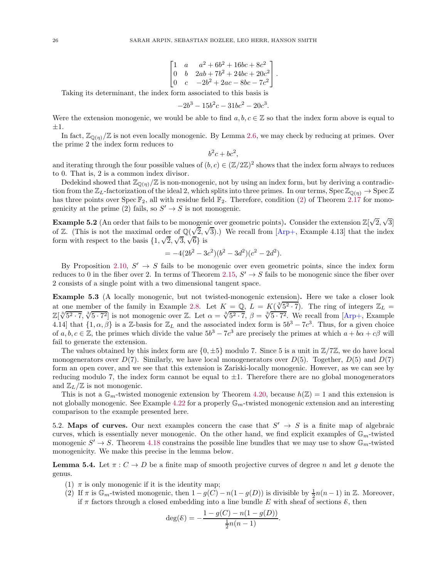$$
\begin{bmatrix} 1 & a & a^2 + 6b^2 + 16bc + 8c^2 \\ 0 & b & 2ab + 7b^2 + 24bc + 20c^2 \\ 0 & c & -2b^2 + 2ac - 8bc - 7c^2 \end{bmatrix}.
$$

Taking its determinant, the index form associated to this basis is

$$
-2b^3 - 15b^2c - 31bc^2 - 20c^3.
$$

Were the extension monogenic, we would be able to find  $a, b, c \in \mathbb{Z}$  so that the index form above is equal to ±1.

In fact,  $\mathbb{Z}_{\mathbb{Q}(\eta)}/\mathbb{Z}$  is not even locally monogenic. By Lemma [2.6,](#page-4-3) we may check by reducing at primes. Over the prime 2 the index form reduces to

$$
b^2c + bc^2,
$$

and iterating through the four possible values of  $(b, c) \in (\mathbb{Z}/2\mathbb{Z})^2$  shows that the index form always to reduces to 0. That is, 2 is a common index divisor.

Dedekind showed that  $\mathbb{Z}_{\mathbb{Q}(\eta)}/\mathbb{Z}$  is non-monogenic, not by using an index form, but by deriving a contradiction from the  $\mathbb{Z}_L$ -factorization of the ideal 2, which splits into three primes. In our terms, Spec  $\mathbb{Z}_{\mathbb{Q}(\eta)} \to \text{Spec } \mathbb{Z}$ has three points over Spec  $\mathbb{F}_2$ , all with residue field  $\mathbb{F}_2$ . Therefore, condition [\(2\)](#page-7-1) of Theorem [2.17](#page-7-4) for monogenicity at the prime (2) fails, so  $S' \to S$  is not monogenic.

**Example 5.2** (An order that fails to be monogenic over geometric points). Consider the extension  $\mathbb{Z}[\sqrt{2}, \sqrt{3}]$ of Z. (This is not the maximal order of  $\mathbb{Q}(\sqrt{2}, \sqrt{3})$ .) We recall from [\[Arp+,](#page-27-1) Example 4.13] that the index form with respect to the basis  $\{1, \sqrt{2}, \sqrt{3}, \sqrt{6}\}$  is

$$
= -4(2b^2 - 3c^2)(b^2 - 3d^2)(c^2 - 2d^2).
$$

By Proposition [2.10,](#page-4-9)  $S' \rightarrow S$  fails to be monogenic over even geometric points, since the index form reduces to 0 in the fiber over 2. In terms of Theorem [2.15,](#page-6-1)  $S' \to S$  fails to be monogenic since the fiber over 2 consists of a single point with a two dimensional tangent space.

<span id="page-25-1"></span>Example 5.3 (A locally monogenic, but not twisted-monogenic extension). Here we take a closer look at one member of the family in Example [2.8.](#page-4-10) Let  $K = \mathbb{Q}$ ,  $L = K(\sqrt[3]{5^2 \cdot 7})$ . The ring of integers  $\mathbb{Z}_L$  =  $\mathbb{Z}[\sqrt[3]{5^2 \cdot 7}, \sqrt[3]{5 \cdot 7^2}]$  is not monogenic over Z. Let  $\alpha = \sqrt[3]{5^2 \cdot 7}, \beta = \sqrt[3]{5 \cdot 7^2}$ . We recall from [\[Arp+,](#page-27-1) Example 4.14] that  $\{1, \alpha, \beta\}$  is a Z-basis for  $\mathbb{Z}_L$  and the associated index form is  $5b^3 - 7c^3$ . Thus, for a given choice of  $a, b, c \in \mathbb{Z}$ , the primes which divide the value  $5b^3 - 7c^3$  are precisely the primes at which  $a + b\alpha + c\beta$  will fail to generate the extension.

The values obtained by this index form are  $\{0, \pm 5\}$  modulo 7. Since 5 is a unit in  $\mathbb{Z}/7\mathbb{Z}$ , we do have local monogenerators over  $D(7)$ . Similarly, we have local monogenerators over  $D(5)$ . Together,  $D(5)$  and  $D(7)$ form an open cover, and we see that this extension is Zariski-locally monogenic. However, as we can see by reducing modulo 7, the index form cannot be equal to  $\pm 1$ . Therefore there are no global monogenerators and  $\mathbb{Z}_L/\mathbb{Z}$  is not monogenic.

This is not a  $\mathbb{G}_m$ -twisted monogenic extension by Theorem [4.20,](#page-20-0) because  $h(\mathbb{Z}) = 1$  and this extension is not globally monogenic. See Example [4.22](#page-21-0) for a properly  $\mathbb{G}_m$ -twisted monogenic extension and an interesting comparison to the example presented here.

<span id="page-25-0"></span>5.2. Maps of curves. Our next examples concern the case that  $S' \rightarrow S$  is a finite map of algebraic curves, which is essentially never monogenic. On the other hand, we find explicit examples of  $\mathbb{G}_m$ -twisted monogenic  $S' \to S$ . Theorem [4.18](#page-20-2) constrains the possible line bundles that we may use to show  $\mathbb{G}_m$ -twisted monogenicity. We make this precise in the lemma below.

<span id="page-25-4"></span><span id="page-25-2"></span>**Lemma 5.4.** Let  $\pi: C \to D$  be a finite map of smooth projective curves of degree n and let g denote the genus.

- <span id="page-25-3"></span>(1)  $\pi$  is only monogenic if it is the identity map;
- (2) If  $\pi$  is  $\mathbb{G}_m$ -twisted monogenic, then  $1-g(C) n(1-g(D))$  is divisible by  $\frac{1}{2}n(n-1)$  in  $\mathbb{Z}$ . Moreover, if  $\pi$  factors through a closed embedding into a line bundle E with sheaf of sections  $\mathcal{E}$ , then

$$
\deg(\mathcal{E}) = -\frac{1 - g(C) - n(1 - g(D))}{\frac{1}{2}n(n-1)}.
$$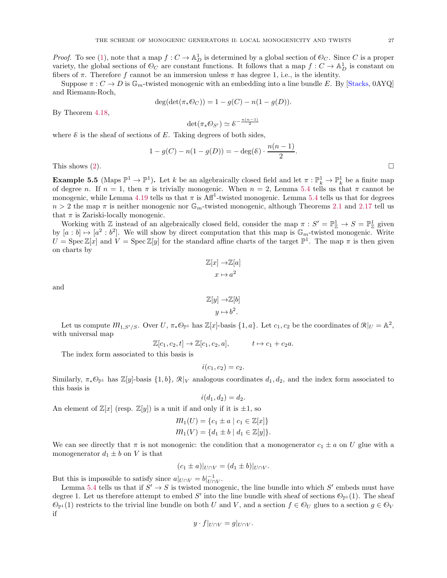*Proof.* To see [\(1\)](#page-25-2), note that a map  $f: C \to \mathbb{A}^1_D$  is determined by a global section of  $\mathcal{O}_C$ . Since C is a proper variety, the global sections of  $\mathcal{O}_C$  are constant functions. It follows that a map  $f: C \to \mathbb{A}_D^1$  is constant on fibers of  $\pi$ . Therefore f cannot be an immersion unless  $\pi$  has degree 1, i.e., is the identity.

Suppose  $\pi: C \to D$  is  $\mathbb{G}_m$ -twisted monogenic with an embedding into a line bundle E. By [\[Stacks,](#page-28-1) 0AYQ] and Riemann-Roch,

$$
\deg(\det(\pi_* {\mathcal O}_C)) = 1 - g(C) - n(1 - g(D)).
$$

By Theorem [4.18,](#page-20-2)

$$
\det(\pi_*\mathcal{O}_{S'})\simeq \mathcal{E}^{-\frac{n(n-1)}{2}}
$$

where  $\&$  is the sheaf of sections of E. Taking degrees of both sides,

$$
1 - g(C) - n(1 - g(D)) = -\deg(\mathcal{E}) \cdot \frac{n(n-1)}{2}.
$$

This shows [\(2\)](#page-25-3).

**Example 5.5** (Maps  $\mathbb{P}^1 \to \mathbb{P}^1$ ). Let k be an algebraically closed field and let  $\pi : \mathbb{P}_k^1 \to \mathbb{P}_k^1$  be a finite map of degree n. If  $n = 1$ , then  $\pi$  is trivially monogenic. When  $n = 2$ , Lemma [5.4](#page-25-4) tells us that  $\pi$  cannot be monogenic, while Lemma [4.19](#page-20-1) tells us that  $\pi$  is Aff<sup>1</sup>-twisted monogenic. Lemma [5.4](#page-25-4) tells us that for degrees  $n > 2$  the map  $\pi$  is neither monogenic nor  $\mathbb{G}_m$ -twisted monogenic, although Theorems [2.1](#page-3-2) and [2.17](#page-7-4) tell us that  $\pi$  is Zariski-locally monogenic.

Working with  $\mathbb{Z}$  instead of an algebraically closed field, consider the map  $\pi : S' = \mathbb{P}^1_{\mathbb{Z}} \to S = \mathbb{P}^1_{\mathbb{Z}}$  given by  $[a:b] \mapsto [a^2:b^2]$ . We will show by direct computation that this map is  $\mathbb{G}_m$ -twisted monogenic. Write  $U = \text{Spec } \mathbb{Z}[x]$  and  $V = \text{Spec } \mathbb{Z}[y]$  for the standard affine charts of the target  $\mathbb{P}^1$ . The map  $\pi$  is then given on charts by

$$
\mathbb{Z}[x] \to \mathbb{Z}[a]
$$

$$
x \mapsto a^2
$$

and

$$
\mathbb{Z}[y] \to \mathbb{Z}[b]
$$

$$
y \mapsto b^2.
$$

Let us compute  $m_{1,S'/S}$ . Over  $U, \pi_* \mathcal{O}_{\mathbb{P}^1}$  has  $\mathbb{Z}[x]$ -basis  $\{1, a\}$ . Let  $c_1, c_2$  be the coordinates of  $\mathcal{R}|_U = \mathbb{A}^2$ , with universal map

$$
\mathbb{Z}[c_1, c_2, t] \to \mathbb{Z}[c_1, c_2, a], \qquad t \mapsto c_1 + c_2 a.
$$

The index form associated to this basis is

$$
i(c_1,c_2)=c_2.
$$

Similarly,  $\pi_*\mathbb{O}_{\mathbb{P}^1}$  has  $\mathbb{Z}[y]$ -basis  $\{1,b\}, \mathcal{R}|_V$  analogous coordinates  $d_1, d_2$ , and the index form associated to this basis is

$$
i(d_1, d_2) = d_2.
$$

An element of  $\mathbb{Z}[x]$  (resp.  $\mathbb{Z}[y]$ ) is a unit if and only if it is  $\pm 1$ , so

$$
m_1(U) = \{c_1 \pm a \mid c_1 \in \mathbb{Z}[x]\}
$$
  

$$
m_1(V) = \{d_1 \pm b \mid d_1 \in \mathbb{Z}[y]\}.
$$

We can see directly that  $\pi$  is not monogenic: the condition that a monogenerator  $c_1 \pm a$  on U glue with a monogenerator  $d_1 \pm b$  on V is that

$$
(c_1 \pm a)|_{U \cap V} = (d_1 \pm b)|_{U \cap V}.
$$

But this is impossible to satisfy since  $a|_{U \cap V} = b|_{U \cap V}^{-1}$ .

Lemma [5.4](#page-25-4) tells us that if  $S' \to S$  is twisted monogenic, the line bundle into which  $S'$  embeds must have degree 1. Let us therefore attempt to embed S' into the line bundle with sheaf of sections  $\mathbb{O}_{\mathbb{P}^1}(1)$ . The sheaf  $\mathbb{O}_{\mathbb{P}^1}(1)$  restricts to the trivial line bundle on both U and V, and a section  $f \in \mathbb{O}_U$  glues to a section  $g \in \mathbb{O}_V$ if

$$
y \cdot f|_{U \cap V} = g|_{U \cap V}.
$$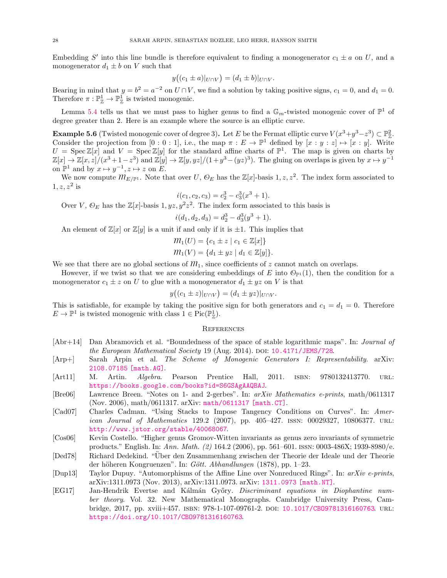Embedding S' into this line bundle is therefore equivalent to finding a monogenerator  $c_1 \pm a$  on U, and a monogenerator  $d_1 \pm b$  on V such that

$$
y((c_1 \pm a)|_{U \cap V}) = (d_1 \pm b)|_{U \cap V}.
$$

Bearing in mind that  $y = b^2 = a^{-2}$  on  $U \cap V$ , we find a solution by taking positive signs,  $c_1 = 0$ , and  $d_1 = 0$ . Therefore  $\pi : \mathbb{P}^1_{\mathbb{Z}} \to \mathbb{P}^1_{\mathbb{Z}}$  is twisted monogenic.

Lemma [5.4](#page-25-4) tells us that we must pass to higher genus to find a  $\mathbb{G}_m$ -twisted monogenic cover of  $\mathbb{P}^1$  of degree greater than 2. Here is an example where the source is an elliptic curve.

**Example 5.6** (Twisted monogenic cover of degree 3). Let E be the Fermat elliptic curve  $V(x^3+y^3-z^3) \subset \mathbb{P}^2_{\mathbb{Z}}$ . Consider the projection from  $[0:0:1]$ , i.e., the map  $\pi: E \to \mathbb{P}^1$  defined by  $[x:y:z] \mapsto [x:y]$ . Write  $U = \text{Spec } \mathbb{Z}[x]$  and  $V = \text{Spec } \mathbb{Z}[y]$  for the standard affine charts of  $\mathbb{P}^1$ . The map is given on charts by  $\mathbb{Z}[x] \to \mathbb{Z}[x,z]/(x^3+1-z^3)$  and  $\mathbb{Z}[y] \to \mathbb{Z}[y,yz]/(1+y^3-(yz)^3)$ . The gluing on overlaps is given by  $x \mapsto y^{-1}$ on  $\mathbb{P}^1$  and by  $x \mapsto y^{-1}, z \mapsto z$  on E.

We now compute  $m_{E/\mathbb{P}^1}$ . Note that over U,  $\mathcal{O}_E$  has the  $\mathbb{Z}[x]$ -basis 1, z, z<sup>2</sup>. The index form associated to  $1, z, z^2$  is

$$
i(c_1, c_2, c_3) = c_2^3 - c_3^3(x^3 + 1).
$$

 $i(c_1, c_2, c_3) = c_2^3 - c_3^3(x^3 + 1)$ .<br>Over V,  $\Theta_E$  has the Z[x]-basis 1,  $yz, y^2z^2$ . The index form associated to this basis is

$$
i(d_1, d_2, d_3) = d_2^3 - d_3^3(y^3 + 1).
$$

An element of  $\mathbb{Z}[x]$  or  $\mathbb{Z}[y]$  is a unit if and only if it is  $\pm 1$ . This implies that

$$
m_1(U) = \{c_1 \pm z \mid c_1 \in \mathbb{Z}[x]\}
$$
  

$$
m_1(V) = \{d_1 \pm yz \mid d_1 \in \mathbb{Z}[y]\}.
$$

We see that there are no global sections of  $m_1$ , since coefficients of z cannot match on overlaps.

However, if we twist so that we are considering embeddings of E into  $\mathcal{O}_{\mathbb{P}^1}(1)$ , then the condition for a monogenerator  $c_1 \pm z$  on U to glue with a monogenerator  $d_1 \pm yz$  on V is that

$$
y((c_1 \pm z)|_{U \cap V}) = (d_1 \pm yz)|_{U \cap V}.
$$

This is satisfiable, for example by taking the positive sign for both generators and  $c_1 = d_1 = 0$ . Therefore  $E \to \mathbb{P}^1$  is twisted monogenic with class  $1 \in Pic(\mathbb{P}^1_{\mathbb{Z}})$ .

#### <span id="page-27-0"></span>**REFERENCES**

- <span id="page-27-5"></span>[Abr+14] Dan Abramovich et al. "Boundedness of the space of stable logarithmic maps". In: Journal of the European Mathematical Society 19 (Aug. 2014). DOI:  $10.4171/JEMS/728$ .
- <span id="page-27-3"></span><span id="page-27-1"></span>[Arp+] Sarah Arpin et al. The Scheme of Monogenic Generators I: Representability. arXiv: [2108.07185 \[math.AG\]](https://arxiv.org/abs/2108.07185).
- [Art11] M. Artin. *Algebra*. Pearson Prentice Hall, 2011. ISBN: 9780132413770. URL: <https://books.google.com/books?id=S6GSAgAAQBAJ>.
- <span id="page-27-8"></span>[Bre06] Lawrence Breen. "Notes on 1- and 2-gerbes". In: arXiv Mathematics e-prints, math/0611317 (Nov. 2006), math/0611317. arXiv: [math/0611317 \[math.CT\]](https://arxiv.org/abs/math/0611317).
- <span id="page-27-4"></span>[Cad07] Charles Cadman. "Using Stacks to Impose Tangency Conditions on Curves". In: American Journal of Mathematics 129.2 (2007), pp. 405-427. ISSN: 00029327, 10806377. URL: <http://www.jstor.org/stable/40068067>.
- <span id="page-27-2"></span>[Cos06] Kevin Costello. "Higher genus Gromov-Witten invariants as genus zero invariants of symmetric products." English. In: Ann. Math. (2) 164.2 (2006), pp. 561–601. issn: 0003-486X; 1939-8980/e.
- <span id="page-27-9"></span>[Ded78] Richard Dedekind. "Über den Zusammenhang zwischen der Theorie der Ideale und der Theorie der höheren Kongruenzen". In: Gött. Abhandlungen  $(1878)$ , pp. 1–23.
- <span id="page-27-6"></span>[Dup13] Taylor Dupuy. "Automorphisms of the Affine Line over Nonreduced Rings". In: arXiv e-prints, arXiv:1311.0973 (Nov. 2013), arXiv:1311.0973. arXiv: [1311.0973 \[math.NT\]](https://arxiv.org/abs/1311.0973).
- <span id="page-27-7"></span>[EG17] Jan-Hendrik Evertse and Kálmán Győry. Discriminant equations in Diophantine number theory. Vol. 32. New Mathematical Monographs. Cambridge University Press, Cambridge, 2017, pp. xviii+457. isbn: 978-1-107-09761-2. doi: [10.1017/CBO9781316160763](https://doi.org/10.1017/CBO9781316160763). url: <https://doi.org/10.1017/CBO9781316160763>.